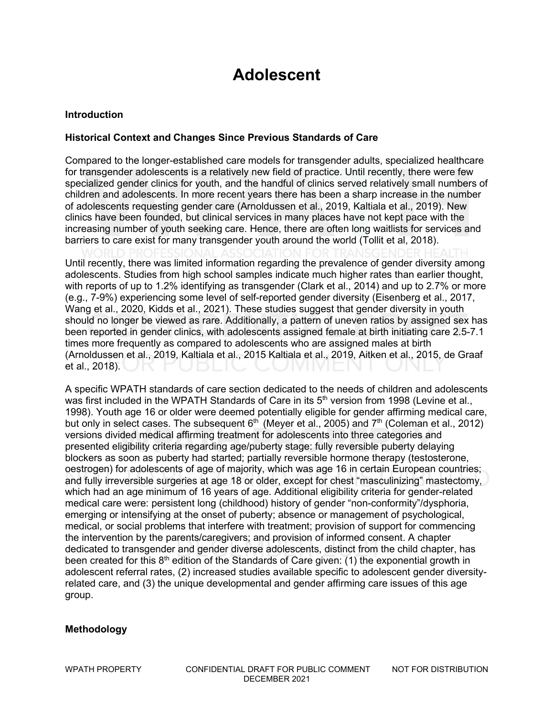### **Adolescent**

#### **Introduction**

#### **Historical Context and Changes Since Previous Standards of Care**

Compared to the longer-established care models for transgender adults, specialized healthcare for transgender adolescents is a relatively new field of practice. Until recently, there were few specialized gender clinics for youth, and the handful of clinics served relatively small numbers of children and adolescents. In more recent years there has been a sharp increase in the number of adolescents requesting gender care (Arnoldussen et al., 2019, Kaltiala et al., 2019). New clinics have been founded, but clinical services in many places have not kept pace with the increasing number of youth seeking care. Hence, there are often long waitlists for services and barriers to care exist for many transgender youth around the world (Tollit et al, 2018).

Until recently, there was limited information regarding the prevalence of gender diversity among adolescents. Studies from high school samples indicate much higher rates than earlier thought, with reports of up to 1.2% identifying as transgender (Clark et al., 2014) and up to 2.7% or more (e.g., 7-9%) experiencing some level of self-reported gender diversity (Eisenberg et al., 2017, Wang et al., 2020, Kidds et al., 2021). These studies suggest that gender diversity in youth should no longer be viewed as rare. Additionally, a pattern of uneven ratios by assigned sex has been reported in gender clinics, with adolescents assigned female at birth initiating care 2.5-7.1 times more frequently as compared to adolescents who are assigned males at birth (Arnoldussen et al., 2019, Kaltiala et al., 2015 Kaltiala et al., 2019, Aitken et al., 2015, de Graaf et al., 2018).

A specific WPATH standards of care section dedicated to the needs of children and adolescents was first included in the WPATH Standards of Care in its  $5<sup>th</sup>$  version from 1998 (Levine et al., 1998). Youth age 16 or older were deemed potentially eligible for gender affirming medical care, but only in select cases. The subsequent  $6<sup>th</sup>$  (Meyer et al., 2005) and  $7<sup>th</sup>$  (Coleman et al., 2012) versions divided medical affirming treatment for adolescents into three categories and presented eligibility criteria regarding age/puberty stage: fully reversible puberty delaying blockers as soon as puberty had started; partially reversible hormone therapy (testosterone, oestrogen) for adolescents of age of majority, which was age 16 in certain European countries; and fully irreversible surgeries at age 18 or older, except for chest "masculinizing" mastectomy, which had an age minimum of 16 years of age. Additional eligibility criteria for gender-related medical care were: persistent long (childhood) history of gender "non-conformity"/dysphoria, emerging or intensifying at the onset of puberty; absence or management of psychological, medical, or social problems that interfere with treatment; provision of support for commencing the intervention by the parents/caregivers; and provision of informed consent. A chapter dedicated to transgender and gender diverse adolescents, distinct from the child chapter, has been created for this  $8<sup>th</sup>$  edition of the Standards of Care given: (1) the exponential growth in adolescent referral rates, (2) increased studies available specific to adolescent gender diversityrelated care, and (3) the unique developmental and gender affirming care issues of this age group.

#### **Methodology**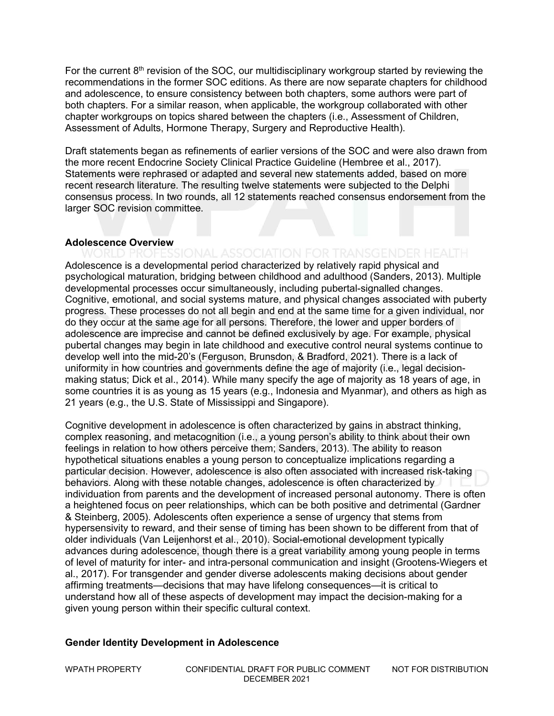For the current 8th revision of the SOC, our multidisciplinary workgroup started by reviewing the recommendations in the former SOC editions. As there are now separate chapters for childhood and adolescence, to ensure consistency between both chapters, some authors were part of both chapters. For a similar reason, when applicable, the workgroup collaborated with other chapter workgroups on topics shared between the chapters (i.e., Assessment of Children, Assessment of Adults, Hormone Therapy, Surgery and Reproductive Health).

Draft statements began as refinements of earlier versions of the SOC and were also drawn from the more recent Endocrine Society Clinical Practice Guideline (Hembree et al., 2017). Statements were rephrased or adapted and several new statements added, based on more recent research literature. The resulting twelve statements were subjected to the Delphi consensus process. In two rounds, all 12 statements reached consensus endorsement from the larger SOC revision committee.

#### **Adolescence Overview**

Adolescence is a developmental period characterized by relatively rapid physical and psychological maturation, bridging between childhood and adulthood (Sanders, 2013). Multiple developmental processes occur simultaneously, including pubertal-signalled changes. Cognitive, emotional, and social systems mature, and physical changes associated with puberty progress. These processes do not all begin and end at the same time for a given individual, nor do they occur at the same age for all persons. Therefore, the lower and upper borders of adolescence are imprecise and cannot be defined exclusively by age. For example, physical pubertal changes may begin in late childhood and executive control neural systems continue to develop well into the mid-20's (Ferguson, Brunsdon, & Bradford, 2021). There is a lack of uniformity in how countries and governments define the age of majority (i.e., legal decisionmaking status; Dick et al., 2014). While many specify the age of majority as 18 years of age, in some countries it is as young as 15 years (e.g., Indonesia and Myanmar), and others as high as 21 years (e.g., the U.S. State of Mississippi and Singapore).

Cognitive development in adolescence is often characterized by gains in abstract thinking, complex reasoning, and metacognition (i.e., a young person's ability to think about their own feelings in relation to how others perceive them; Sanders, 2013). The ability to reason hypothetical situations enables a young person to conceptualize implications regarding a particular decision. However, adolescence is also often associated with increased risk-taking behaviors. Along with these notable changes, adolescence is often characterized by individuation from parents and the development of increased personal autonomy. There is often a heightened focus on peer relationships, which can be both positive and detrimental (Gardner & Steinberg, 2005). Adolescents often experience a sense of urgency that stems from hypersensivity to reward, and their sense of timing has been shown to be different from that of older individuals (Van Leijenhorst et al., 2010). Social-emotional development typically advances during adolescence, though there is a great variability among young people in terms of level of maturity for inter- and intra-personal communication and insight (Grootens-Wiegers et al., 2017). For transgender and gender diverse adolescents making decisions about gender affirming treatments—decisions that may have lifelong consequences—it is critical to understand how all of these aspects of development may impact the decision-making for a given young person within their specific cultural context.

#### **Gender Identity Development in Adolescence**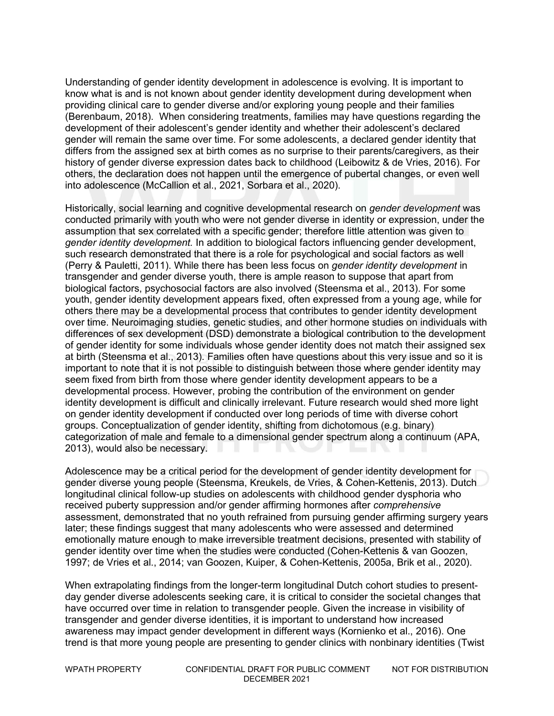Understanding of gender identity development in adolescence is evolving. It is important to know what is and is not known about gender identity development during development when providing clinical care to gender diverse and/or exploring young people and their families (Berenbaum, 2018). When considering treatments, families may have questions regarding the development of their adolescent's gender identity and whether their adolescent's declared gender will remain the same over time. For some adolescents, a declared gender identity that differs from the assigned sex at birth comes as no surprise to their parents/caregivers, as their history of gender diverse expression dates back to childhood (Leibowitz & de Vries, 2016). For others, the declaration does not happen until the emergence of pubertal changes, or even well into adolescence (McCallion et al., 2021, Sorbara et al., 2020).

Historically, social learning and cognitive developmental research on *gender development* was conducted primarily with youth who were not gender diverse in identity or expression, under the assumption that sex correlated with a specific gender; therefore little attention was given to *gender identity development.* In addition to biological factors influencing gender development, such research demonstrated that there is a role for psychological and social factors as well (Perry & Pauletti, 2011). While there has been less focus on *gender identity development* in transgender and gender diverse youth, there is ample reason to suppose that apart from biological factors, psychosocial factors are also involved (Steensma et al., 2013). For some youth, gender identity development appears fixed, often expressed from a young age, while for others there may be a developmental process that contributes to gender identity development over time. Neuroimaging studies, genetic studies, and other hormone studies on individuals with differences of sex development (DSD) demonstrate a biological contribution to the development of gender identity for some individuals whose gender identity does not match their assigned sex at birth (Steensma et al., 2013). Families often have questions about this very issue and so it is important to note that it is not possible to distinguish between those where gender identity may seem fixed from birth from those where gender identity development appears to be a developmental process. However, probing the contribution of the environment on gender identity development is difficult and clinically irrelevant. Future research would shed more light on gender identity development if conducted over long periods of time with diverse cohort groups. Conceptualization of gender identity, shifting from dichotomous (e.g. binary) categorization of male and female to a dimensional gender spectrum along a continuum (APA, 2013), would also be necessary.

Adolescence may be a critical period for the development of gender identity development for gender diverse young people (Steensma, Kreukels, de Vries, & Cohen-Kettenis, 2013). Dutch longitudinal clinical follow-up studies on adolescents with childhood gender dysphoria who received puberty suppression and/or gender affirming hormones after *comprehensive* assessment, demonstrated that no youth refrained from pursuing gender affirming surgery years later; these findings suggest that many adolescents who were assessed and determined emotionally mature enough to make irreversible treatment decisions, presented with stability of gender identity over time when the studies were conducted (Cohen-Kettenis & van Goozen, 1997; de Vries et al., 2014; van Goozen, Kuiper, & Cohen-Kettenis, 2005a, Brik et al., 2020).

When extrapolating findings from the longer-term longitudinal Dutch cohort studies to presentday gender diverse adolescents seeking care, it is critical to consider the societal changes that have occurred over time in relation to transgender people. Given the increase in visibility of transgender and gender diverse identities, it is important to understand how increased awareness may impact gender development in different ways (Kornienko et al., 2016). One trend is that more young people are presenting to gender clinics with nonbinary identities (Twist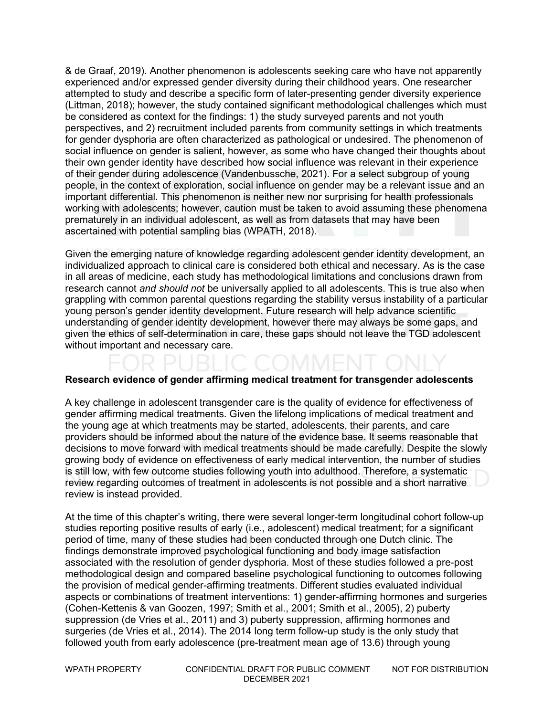& de Graaf, 2019). Another phenomenon is adolescents seeking care who have not apparently experienced and/or expressed gender diversity during their childhood years. One researcher attempted to study and describe a specific form of later-presenting gender diversity experience (Littman, 2018); however, the study contained significant methodological challenges which must be considered as context for the findings: 1) the study surveyed parents and not youth perspectives, and 2) recruitment included parents from community settings in which treatments for gender dysphoria are often characterized as pathological or undesired. The phenomenon of social influence on gender is salient, however, as some who have changed their thoughts about their own gender identity have described how social influence was relevant in their experience of their gender during adolescence (Vandenbussche, 2021). For a select subgroup of young people, in the context of exploration, social influence on gender may be a relevant issue and an important differential. This phenomenon is neither new nor surprising for health professionals working with adolescents; however, caution must be taken to avoid assuming these phenomena prematurely in an individual adolescent, as well as from datasets that may have been ascertained with potential sampling bias (WPATH, 2018).

Given the emerging nature of knowledge regarding adolescent gender identity development, an individualized approach to clinical care is considered both ethical and necessary. As is the case in all areas of medicine, each study has methodological limitations and conclusions drawn from research cannot *and should not* be universally applied to all adolescents. This is true also when grappling with common parental questions regarding the stability versus instability of a particular young person's gender identity development. Future research will help advance scientific understanding of gender identity development, however there may always be some gaps, and given the ethics of self-determination in care, these gaps should not leave the TGD adolescent without important and necessary care.

#### **Research evidence of gender affirming medical treatment for transgender adolescents**

A key challenge in adolescent transgender care is the quality of evidence for effectiveness of gender affirming medical treatments. Given the lifelong implications of medical treatment and the young age at which treatments may be started, adolescents, their parents, and care providers should be informed about the nature of the evidence base. It seems reasonable that decisions to move forward with medical treatments should be made carefully. Despite the slowly growing body of evidence on effectiveness of early medical intervention, the number of studies is still low, with few outcome studies following youth into adulthood. Therefore, a systematic review regarding outcomes of treatment in adolescents is not possible and a short narrative review is instead provided.

At the time of this chapter's writing, there were several longer-term longitudinal cohort follow-up studies reporting positive results of early (i.e., adolescent) medical treatment; for a significant period of time, many of these studies had been conducted through one Dutch clinic. The findings demonstrate improved psychological functioning and body image satisfaction associated with the resolution of gender dysphoria. Most of these studies followed a pre-post methodological design and compared baseline psychological functioning to outcomes following the provision of medical gender-affirming treatments. Different studies evaluated individual aspects or combinations of treatment interventions: 1) gender-affirming hormones and surgeries (Cohen-Kettenis & van Goozen, 1997; Smith et al., 2001; Smith et al., 2005), 2) puberty suppression (de Vries et al., 2011) and 3) puberty suppression, affirming hormones and surgeries (de Vries et al., 2014). The 2014 long term follow-up study is the only study that followed youth from early adolescence (pre-treatment mean age of 13.6) through young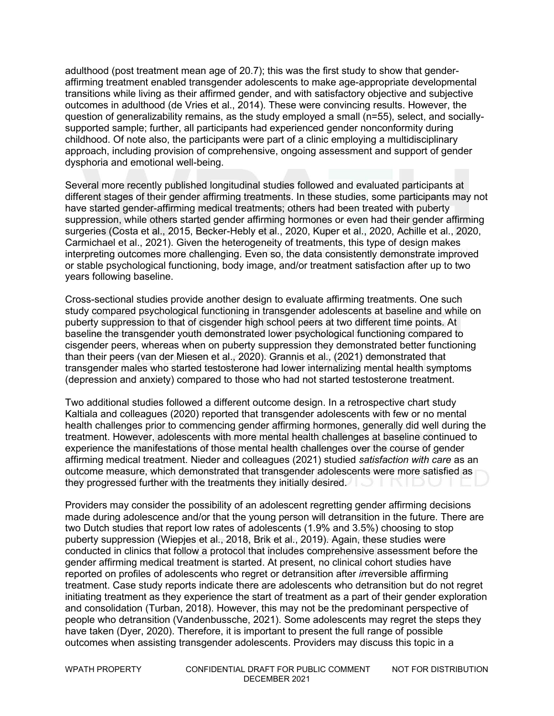adulthood (post treatment mean age of 20.7); this was the first study to show that genderaffirming treatment enabled transgender adolescents to make age-appropriate developmental transitions while living as their affirmed gender, and with satisfactory objective and subjective outcomes in adulthood (de Vries et al., 2014). These were convincing results. However, the question of generalizability remains, as the study employed a small (n=55), select, and sociallysupported sample; further, all participants had experienced gender nonconformity during childhood. Of note also, the participants were part of a clinic employing a multidisciplinary approach, including provision of comprehensive, ongoing assessment and support of gender dysphoria and emotional well-being.

Several more recently published longitudinal studies followed and evaluated participants at different stages of their gender affirming treatments. In these studies, some participants may not have started gender-affirming medical treatments; others had been treated with puberty suppression, while others started gender affirming hormones or even had their gender affirming surgeries (Costa et al., 2015, Becker-Hebly et al., 2020, Kuper et al., 2020, Achille et al., 2020, Carmichael et al., 2021). Given the heterogeneity of treatments, this type of design makes interpreting outcomes more challenging. Even so, the data consistently demonstrate improved or stable psychological functioning, body image, and/or treatment satisfaction after up to two years following baseline.

Cross-sectional studies provide another design to evaluate affirming treatments. One such study compared psychological functioning in transgender adolescents at baseline and while on puberty suppression to that of cisgender high school peers at two different time points. At baseline the transgender youth demonstrated lower psychological functioning compared to cisgender peers, whereas when on puberty suppression they demonstrated better functioning than their peers (van der Miesen et al., 2020). Grannis et al., (2021) demonstrated that transgender males who started testosterone had lower internalizing mental health symptoms (depression and anxiety) compared to those who had not started testosterone treatment.

Two additional studies followed a different outcome design. In a retrospective chart study Kaltiala and colleagues (2020) reported that transgender adolescents with few or no mental health challenges prior to commencing gender affirming hormones, generally did well during the treatment. However, adolescents with more mental health challenges at baseline continued to experience the manifestations of those mental health challenges over the course of gender affirming medical treatment. Nieder and colleagues (2021) studied *satisfaction with care* as an outcome measure, which demonstrated that transgender adolescents were more satisfied as they progressed further with the treatments they initially desired.

Providers may consider the possibility of an adolescent regretting gender affirming decisions made during adolescence and/or that the young person will detransition in the future. There are two Dutch studies that report low rates of adolescents (1.9% and 3.5%) choosing to stop puberty suppression (Wiepjes et al., 2018, Brik et al., 2019). Again, these studies were conducted in clinics that follow a protocol that includes comprehensive assessment before the gender affirming medical treatment is started. At present, no clinical cohort studies have reported on profiles of adolescents who regret or detransition after *ir*reversible affirming treatment. Case study reports indicate there are adolescents who detransition but do not regret initiating treatment as they experience the start of treatment as a part of their gender exploration and consolidation (Turban, 2018). However, this may not be the predominant perspective of people who detransition (Vandenbussche, 2021). Some adolescents may regret the steps they have taken (Dyer, 2020). Therefore, it is important to present the full range of possible outcomes when assisting transgender adolescents. Providers may discuss this topic in a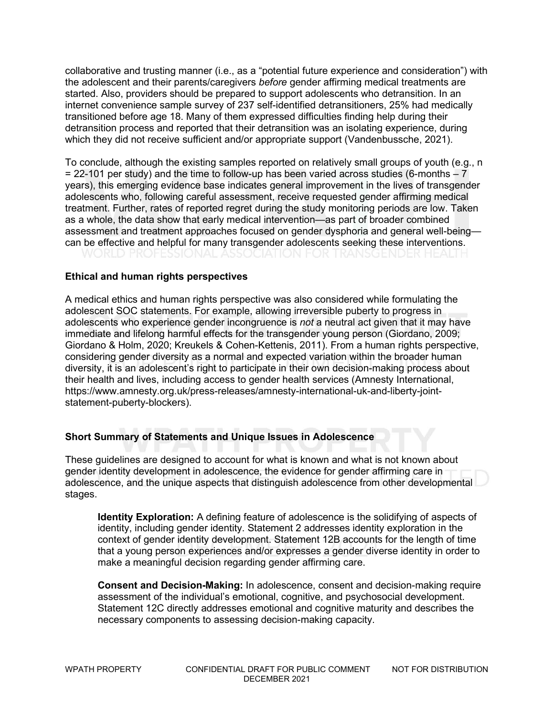collaborative and trusting manner (i.e., as a "potential future experience and consideration") with the adolescent and their parents/caregivers *before* gender affirming medical treatments are started. Also, providers should be prepared to support adolescents who detransition. In an internet convenience sample survey of 237 self-identified detransitioners, 25% had medically transitioned before age 18. Many of them expressed difficulties finding help during their detransition process and reported that their detransition was an isolating experience, during which they did not receive sufficient and/or appropriate support (Vandenbussche, 2021).

To conclude, although the existing samples reported on relatively small groups of youth (e.g., n  $= 22-101$  per study) and the time to follow-up has been varied across studies (6-months  $-7$ ) years), this emerging evidence base indicates general improvement in the lives of transgender adolescents who, following careful assessment, receive requested gender affirming medical treatment. Further, rates of reported regret during the study monitoring periods are low. Taken as a whole, the data show that early medical intervention—as part of broader combined assessment and treatment approaches focused on gender dysphoria and general well-being can be effective and helpful for many transgender adolescents seeking these interventions.

#### **Ethical and human rights perspectives**

A medical ethics and human rights perspective was also considered while formulating the adolescent SOC statements. For example, allowing irreversible puberty to progress in adolescents who experience gender incongruence is *not* a neutral act given that it may have immediate and lifelong harmful effects for the transgender young person (Giordano, 2009; Giordano & Holm, 2020; Kreukels & Cohen-Kettenis, 2011). From a human rights perspective, considering gender diversity as a normal and expected variation within the broader human diversity, it is an adolescent's right to participate in their own decision-making process about their health and lives, including access to gender health services (Amnesty International, https://www.amnesty.org.uk/press-releases/amnesty-international-uk-and-liberty-jointstatement-puberty-blockers).

#### **Short Summary of Statements and Unique Issues in Adolescence**

These guidelines are designed to account for what is known and what is not known about gender identity development in adolescence, the evidence for gender affirming care in adolescence, and the unique aspects that distinguish adolescence from other developmental stages.

**Identity Exploration:** A defining feature of adolescence is the solidifying of aspects of identity, including gender identity. Statement 2 addresses identity exploration in the context of gender identity development. Statement 12B accounts for the length of time that a young person experiences and/or expresses a gender diverse identity in order to make a meaningful decision regarding gender affirming care.

**Consent and Decision-Making:** In adolescence, consent and decision-making require assessment of the individual's emotional, cognitive, and psychosocial development. Statement 12C directly addresses emotional and cognitive maturity and describes the necessary components to assessing decision-making capacity.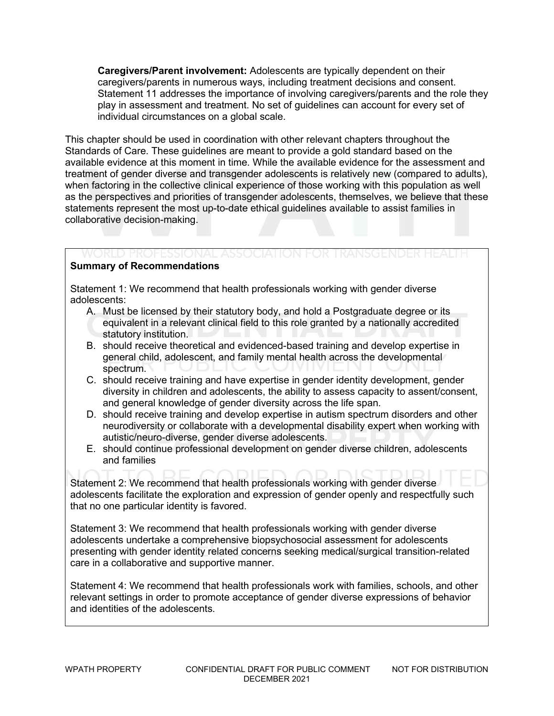**Caregivers/Parent involvement:** Adolescents are typically dependent on their caregivers/parents in numerous ways, including treatment decisions and consent. Statement 11 addresses the importance of involving caregivers/parents and the role they play in assessment and treatment. No set of guidelines can account for every set of individual circumstances on a global scale.

This chapter should be used in coordination with other relevant chapters throughout the Standards of Care. These guidelines are meant to provide a gold standard based on the available evidence at this moment in time. While the available evidence for the assessment and treatment of gender diverse and transgender adolescents is relatively new (compared to adults), when factoring in the collective clinical experience of those working with this population as well as the perspectives and priorities of transgender adolescents, themselves, we believe that these statements represent the most up-to-date ethical guidelines available to assist families in collaborative decision-making.

#### **Summary of Recommendations**

Statement 1: We recommend that health professionals working with gender diverse adolescents:

A. Must be licensed by their statutory body, and hold a Postgraduate degree or its

WORLD PROFESSIONAL ASSOCIATION FOR TRANSGENDER HEALTH

- equivalent in a relevant clinical field to this role granted by a nationally accredited statutory institution.
- B. should receive theoretical and evidenced-based training and develop expertise in general child, adolescent, and family mental health across the developmental spectrum.
- C. should receive training and have expertise in gender identity development, gender diversity in children and adolescents, the ability to assess capacity to assent/consent, and general knowledge of gender diversity across the life span.
- D. should receive training and develop expertise in autism spectrum disorders and other neurodiversity or collaborate with a developmental disability expert when working with autistic/neuro-diverse, gender diverse adolescents.
- E. should continue professional development on gender diverse children, adolescents and families

Statement 2: We recommend that health professionals working with gender diverse adolescents facilitate the exploration and expression of gender openly and respectfully such that no one particular identity is favored.

Statement 3: We recommend that health professionals working with gender diverse adolescents undertake a comprehensive biopsychosocial assessment for adolescents presenting with gender identity related concerns seeking medical/surgical transition-related care in a collaborative and supportive manner.

Statement 4: We recommend that health professionals work with families, schools, and other relevant settings in order to promote acceptance of gender diverse expressions of behavior and identities of the adolescents.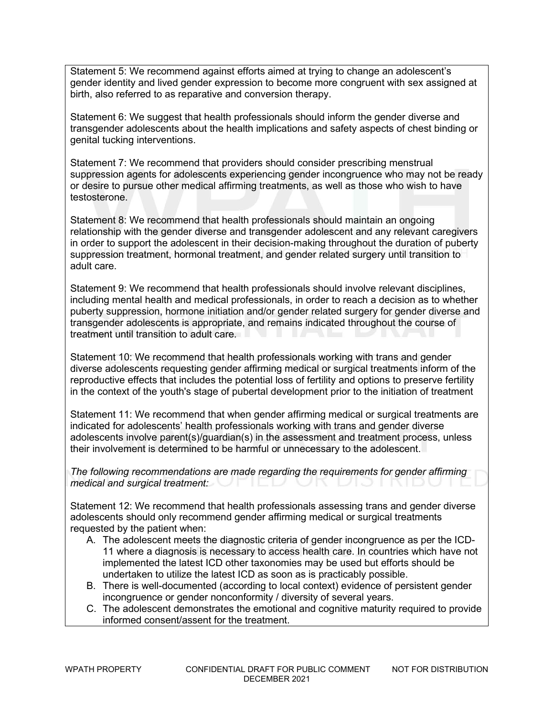Statement 5: We recommend against efforts aimed at trying to change an adolescent's gender identity and lived gender expression to become more congruent with sex assigned at birth, also referred to as reparative and conversion therapy.

Statement 6: We suggest that health professionals should inform the gender diverse and transgender adolescents about the health implications and safety aspects of chest binding or genital tucking interventions.

Statement 7: We recommend that providers should consider prescribing menstrual suppression agents for adolescents experiencing gender incongruence who may not be ready or desire to pursue other medical affirming treatments, as well as those who wish to have testosterone.

Statement 8: We recommend that health professionals should maintain an ongoing relationship with the gender diverse and transgender adolescent and any relevant caregivers in order to support the adolescent in their decision-making throughout the duration of puberty suppression treatment, hormonal treatment, and gender related surgery until transition to adult care.

Statement 9: We recommend that health professionals should involve relevant disciplines, including mental health and medical professionals, in order to reach a decision as to whether puberty suppression, hormone initiation and/or gender related surgery for gender diverse and transgender adolescents is appropriate, and remains indicated throughout the course of treatment until transition to adult care.

Statement 10: We recommend that health professionals working with trans and gender diverse adolescents requesting gender affirming medical or surgical treatments inform of the reproductive effects that includes the potential loss of fertility and options to preserve fertility in the context of the youth's stage of pubertal development prior to the initiation of treatment

Statement 11: We recommend that when gender affirming medical or surgical treatments are indicated for adolescents' health professionals working with trans and gender diverse adolescents involve parent(s)/guardian(s) in the assessment and treatment process, unless their involvement is determined to be harmful or unnecessary to the adolescent.

*The following recommendations are made regarding the requirements for gender affirming medical and surgical treatment:*

Statement 12: We recommend that health professionals assessing trans and gender diverse adolescents should only recommend gender affirming medical or surgical treatments requested by the patient when:

- A. The adolescent meets the diagnostic criteria of gender incongruence as per the ICD-11 where a diagnosis is necessary to access health care. In countries which have not implemented the latest ICD other taxonomies may be used but efforts should be undertaken to utilize the latest ICD as soon as is practicably possible.
- B. There is well-documented (according to local context) evidence of persistent gender incongruence or gender nonconformity / diversity of several years.
- C. The adolescent demonstrates the emotional and cognitive maturity required to provide informed consent/assent for the treatment.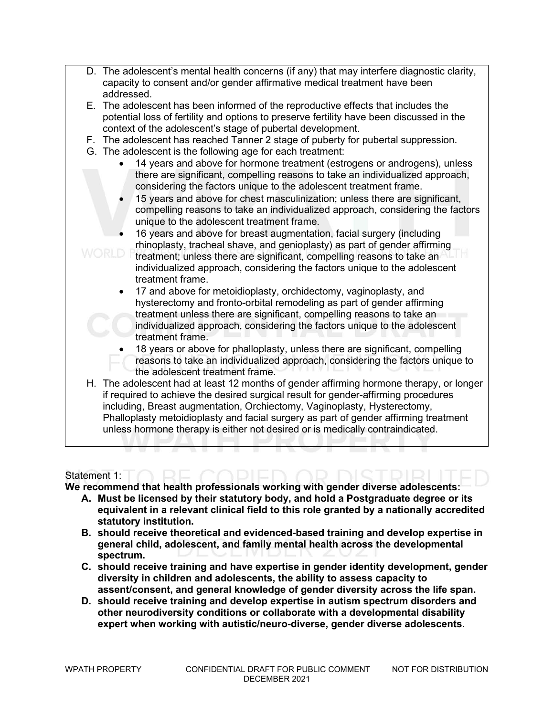- D. The adolescent's mental health concerns (if any) that may interfere diagnostic clarity, capacity to consent and/or gender affirmative medical treatment have been addressed.
- E. The adolescent has been informed of the reproductive effects that includes the potential loss of fertility and options to preserve fertility have been discussed in the context of the adolescent's stage of pubertal development.
- F. The adolescent has reached Tanner 2 stage of puberty for pubertal suppression.
- G. The adolescent is the following age for each treatment:
	- 14 years and above for hormone treatment (estrogens or androgens), unless there are significant, compelling reasons to take an individualized approach, considering the factors unique to the adolescent treatment frame.
	- 15 years and above for chest masculinization; unless there are significant, compelling reasons to take an individualized approach, considering the factors unique to the adolescent treatment frame.
	- 16 years and above for breast augmentation, facial surgery (including rhinoplasty, tracheal shave, and genioplasty) as part of gender affirming
	- treatment; unless there are significant, compelling reasons to take an individualized approach, considering the factors unique to the adolescent treatment frame.
		- 17 and above for metoidioplasty, orchidectomy, vaginoplasty, and hysterectomy and fronto-orbital remodeling as part of gender affirming treatment unless there are significant, compelling reasons to take an individualized approach, considering the factors unique to the adolescent treatment frame.
		- 18 years or above for phalloplasty, unless there are significant, compelling reasons to take an individualized approach, considering the factors unique to the adolescent treatment frame.
- H. The adolescent had at least 12 months of gender affirming hormone therapy, or longer if required to achieve the desired surgical result for gender-affirming procedures including, Breast augmentation, Orchiectomy, Vaginoplasty, Hysterectomy, Phalloplasty metoidioplasty and facial surgery as part of gender affirming treatment unless hormone therapy is either not desired or is medically contraindicated.

#### Statement 1:

**We recommend that health professionals working with gender diverse adolescents:**

- **A. Must be licensed by their statutory body, and hold a Postgraduate degree or its equivalent in a relevant clinical field to this role granted by a nationally accredited statutory institution.**
- **B. should receive theoretical and evidenced-based training and develop expertise in general child, adolescent, and family mental health across the developmental spectrum.**
- **C. should receive training and have expertise in gender identity development, gender diversity in children and adolescents, the ability to assess capacity to assent/consent, and general knowledge of gender diversity across the life span.**
- **D. should receive training and develop expertise in autism spectrum disorders and other neurodiversity conditions or collaborate with a developmental disability expert when working with autistic/neuro-diverse, gender diverse adolescents.**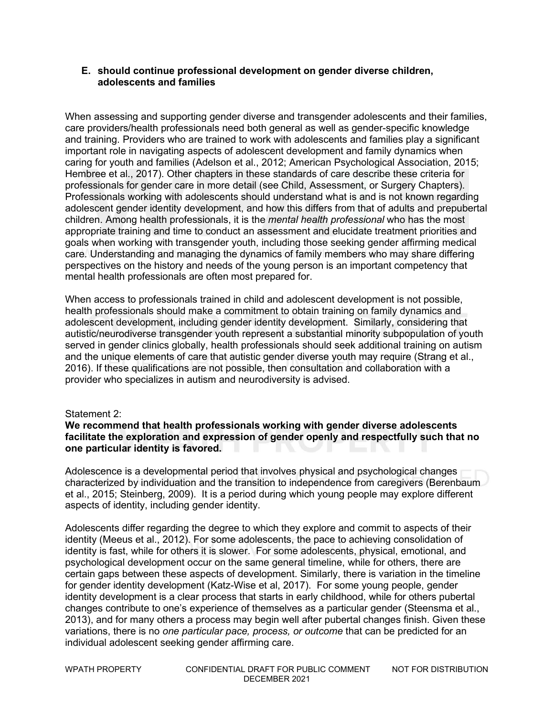#### **E. should continue professional development on gender diverse children, adolescents and families**

When assessing and supporting gender diverse and transgender adolescents and their families, care providers/health professionals need both general as well as gender-specific knowledge and training. Providers who are trained to work with adolescents and families play a significant important role in navigating aspects of adolescent development and family dynamics when caring for youth and families (Adelson et al., 2012; American Psychological Association, 2015; Hembree et al., 2017). Other chapters in these standards of care describe these criteria for professionals for gender care in more detail (see Child, Assessment, or Surgery Chapters). Professionals working with adolescents should understand what is and is not known regarding adolescent gender identity development, and how this differs from that of adults and prepubertal children. Among health professionals, it is the *mental health professional* who has the most appropriate training and time to conduct an assessment and elucidate treatment priorities and goals when working with transgender youth, including those seeking gender affirming medical care*.* Understanding and managing the dynamics of family members who may share differing perspectives on the history and needs of the young person is an important competency that mental health professionals are often most prepared for.

When access to professionals trained in child and adolescent development is not possible, health professionals should make a commitment to obtain training on family dynamics and adolescent development, including gender identity development. Similarly, considering that autistic/neurodiverse transgender youth represent a substantial minority subpopulation of youth served in gender clinics globally, health professionals should seek additional training on autism and the unique elements of care that autistic gender diverse youth may require (Strang et al., 2016). If these qualifications are not possible, then consultation and collaboration with a provider who specializes in autism and neurodiversity is advised.

#### Statement 2:

#### **We recommend that health professionals working with gender diverse adolescents facilitate the exploration and expression of gender openly and respectfully such that no one particular identity is favored.**

Adolescence is a developmental period that involves physical and psychological changes characterized by individuation and the transition to independence from caregivers (Berenbaum et al., 2015; Steinberg, 2009). It is a period during which young people may explore different aspects of identity, including gender identity.

Adolescents differ regarding the degree to which they explore and commit to aspects of their identity (Meeus et al., 2012). For some adolescents, the pace to achieving consolidation of identity is fast, while for others it is slower. For some adolescents, physical, emotional, and psychological development occur on the same general timeline, while for others, there are certain gaps between these aspects of development. Similarly, there is variation in the timeline for gender identity development (Katz-Wise et al, 2017). For some young people, gender identity development is a clear process that starts in early childhood, while for others pubertal changes contribute to one's experience of themselves as a particular gender (Steensma et al., 2013), and for many others a process may begin well after pubertal changes finish. Given these variations, there is no *one particular pace, process, or outcome* that can be predicted for an individual adolescent seeking gender affirming care.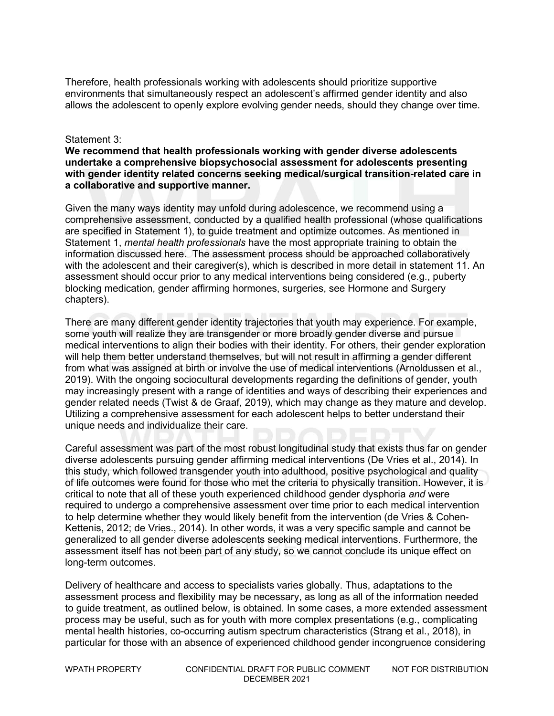Therefore, health professionals working with adolescents should prioritize supportive environments that simultaneously respect an adolescent's affirmed gender identity and also allows the adolescent to openly explore evolving gender needs, should they change over time.

#### Statement 3:

**We recommend that health professionals working with gender diverse adolescents undertake a comprehensive biopsychosocial assessment for adolescents presenting with gender identity related concerns seeking medical/surgical transition-related care in a collaborative and supportive manner.**

Given the many ways identity may unfold during adolescence, we recommend using a comprehensive assessment, conducted by a qualified health professional (whose qualifications are specified in Statement 1), to guide treatment and optimize outcomes. As mentioned in Statement 1, *mental health professionals* have the most appropriate training to obtain the information discussed here. The assessment process should be approached collaboratively with the adolescent and their caregiver(s), which is described in more detail in statement 11. An assessment should occur prior to any medical interventions being considered (e.g., puberty blocking medication, gender affirming hormones, surgeries, see Hormone and Surgery chapters).

There are many different gender identity trajectories that youth may experience. For example, some youth will realize they are transgender or more broadly gender diverse and pursue medical interventions to align their bodies with their identity. For others, their gender exploration will help them better understand themselves, but will not result in affirming a gender different from what was assigned at birth or involve the use of medical interventions (Arnoldussen et al., 2019). With the ongoing sociocultural developments regarding the definitions of gender, youth may increasingly present with a range of identities and ways of describing their experiences and gender related needs (Twist & de Graaf, 2019), which may change as they mature and develop. Utilizing a comprehensive assessment for each adolescent helps to better understand their unique needs and individualize their care.

Careful assessment was part of the most robust longitudinal study that exists thus far on gender diverse adolescents pursuing gender affirming medical interventions (De Vries et al., 2014). In this study, which followed transgender youth into adulthood, positive psychological and quality of life outcomes were found for those who met the criteria to physically transition. However, it is critical to note that all of these youth experienced childhood gender dysphoria *and* were required to undergo a comprehensive assessment over time prior to each medical intervention to help determine whether they would likely benefit from the intervention (de Vries & Cohen-Kettenis, 2012; de Vries., 2014). In other words, it was a very specific sample and cannot be generalized to all gender diverse adolescents seeking medical interventions. Furthermore, the assessment itself has not been part of any study, so we cannot conclude its unique effect on long-term outcomes.

Delivery of healthcare and access to specialists varies globally. Thus, adaptations to the assessment process and flexibility may be necessary, as long as all of the information needed to guide treatment, as outlined below, is obtained. In some cases, a more extended assessment process may be useful, such as for youth with more complex presentations (e.g., complicating mental health histories, co-occurring autism spectrum characteristics (Strang et al., 2018), in particular for those with an absence of experienced childhood gender incongruence considering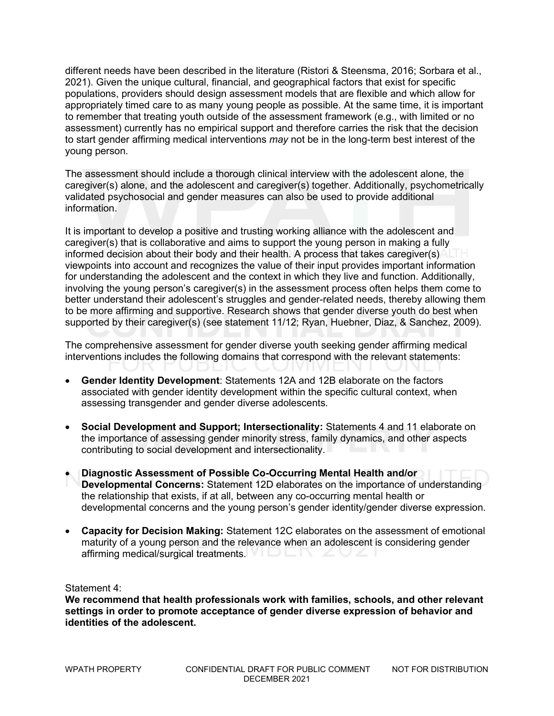different needs have been described in the literature (Ristori & Steensma, 2016; Sorbara et al., 2021). Given the unique cultural, financial, and geographical factors that exist for specific populations, providers should design assessment models that are flexible and which allow for appropriately timed care to as many young people as possible. At the same time, it is important to remember that treating youth outside of the assessment framework (e.g., with limited or no assessment) currently has no empirical support and therefore carries the risk that the decision to start gender affirming medical interventions *may* not be in the long-term best interest of the young person.

The assessment should include a thorough clinical interview with the adolescent alone, the caregiver(s) alone, and the adolescent and caregiver(s) together. Additionally, psychometrically validated psychosocial and gender measures can also be used to provide additional information.

It is important to develop a positive and trusting working alliance with the adolescent and caregiver(s) that is collaborative and aims to support the young person in making a fully informed decision about their body and their health. A process that takes caregiver(s) viewpoints into account and recognizes the value of their input provides important information for understanding the adolescent and the context in which they live and function. Additionally, involving the young person's caregiver(s) in the assessment process often helps them come to better understand their adolescent's struggles and gender-related needs, thereby allowing them to be more affirming and supportive. Research shows that gender diverse youth do best when supported by their caregiver(s) (see statement 11/12; Ryan, Huebner, Diaz, & Sanchez, 2009).

The comprehensive assessment for gender diverse youth seeking gender affirming medical interventions includes the following domains that correspond with the relevant statements:

- **Gender Identity Development**: Statements 12A and 12B elaborate on the factors associated with gender identity development within the specific cultural context, when assessing transgender and gender diverse adolescents.
- **Social Development and Support; Intersectionality:** Statements 4 and 11 elaborate on the importance of assessing gender minority stress, family dynamics, and other aspects contributing to social development and intersectionality.
- **Diagnostic Assessment of Possible Co-Occurring Mental Health and/or Developmental Concerns:** Statement 12D elaborates on the importance of understanding the relationship that exists, if at all, between any co-occurring mental health or developmental concerns and the young person's gender identity/gender diverse expression.
- **Capacity for Decision Making:** Statement 12C elaborates on the assessment of emotional maturity of a young person and the relevance when an adolescent is considering gender affirming medical/surgical treatments.  $\blacksquare$

Statement 4:

**We recommend that health professionals work with families, schools, and other relevant settings in order to promote acceptance of gender diverse expression of behavior and identities of the adolescent.**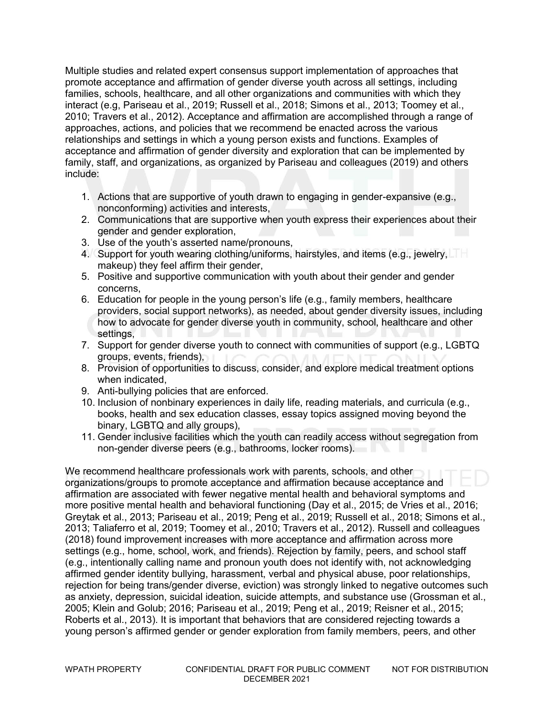Multiple studies and related expert consensus support implementation of approaches that promote acceptance and affirmation of gender diverse youth across all settings, including families, schools, healthcare, and all other organizations and communities with which they interact (e.g, Pariseau et al., 2019; Russell et al., 2018; Simons et al., 2013; Toomey et al., 2010; Travers et al., 2012). Acceptance and affirmation are accomplished through a range of approaches, actions, and policies that we recommend be enacted across the various relationships and settings in which a young person exists and functions. Examples of acceptance and affirmation of gender diversity and exploration that can be implemented by family, staff, and organizations, as organized by Pariseau and colleagues (2019) and others include:

- 1. Actions that are supportive of youth drawn to engaging in gender-expansive (e.g., nonconforming) activities and interests,
- 2. Communications that are supportive when youth express their experiences about their gender and gender exploration,
- 3. Use of the youth's asserted name/pronouns,
- 4. Support for youth wearing clothing/uniforms, hairstyles, and items (e.g., jewelry, makeup) they feel affirm their gender,
- 5. Positive and supportive communication with youth about their gender and gender concerns,
- 6. Education for people in the young person's life (e.g., family members, healthcare providers, social support networks), as needed, about gender diversity issues, including how to advocate for gender diverse youth in community, school, healthcare and other settings,
- 7. Support for gender diverse youth to connect with communities of support (e.g., LGBTQ groups, events, friends),
- 8. Provision of opportunities to discuss, consider, and explore medical treatment options when indicated,
- 9. Anti-bullying policies that are enforced.
- 10. Inclusion of nonbinary experiences in daily life, reading materials, and curricula (e.g., books, health and sex education classes, essay topics assigned moving beyond the binary, LGBTQ and ally groups),
- 11. Gender inclusive facilities which the youth can readily access without segregation from non-gender diverse peers (e.g., bathrooms, locker rooms).

We recommend healthcare professionals work with parents, schools, and other organizations/groups to promote acceptance and affirmation because acceptance and affirmation are associated with fewer negative mental health and behavioral symptoms and more positive mental health and behavioral functioning (Day et al., 2015; de Vries et al., 2016; Greytak et al., 2013; Pariseau et al., 2019; Peng et al., 2019; Russell et al., 2018; Simons et al., 2013; Taliaferro et al, 2019; Toomey et al., 2010; Travers et al., 2012). Russell and colleagues (2018) found improvement increases with more acceptance and affirmation across more settings (e.g., home, school, work, and friends). Rejection by family, peers, and school staff (e.g., intentionally calling name and pronoun youth does not identify with, not acknowledging affirmed gender identity bullying, harassment, verbal and physical abuse, poor relationships, rejection for being trans/gender diverse, eviction) was strongly linked to negative outcomes such as anxiety, depression, suicidal ideation, suicide attempts, and substance use (Grossman et al., 2005; Klein and Golub; 2016; Pariseau et al., 2019; Peng et al., 2019; Reisner et al., 2015; Roberts et al., 2013). It is important that behaviors that are considered rejecting towards a young person's affirmed gender or gender exploration from family members, peers, and other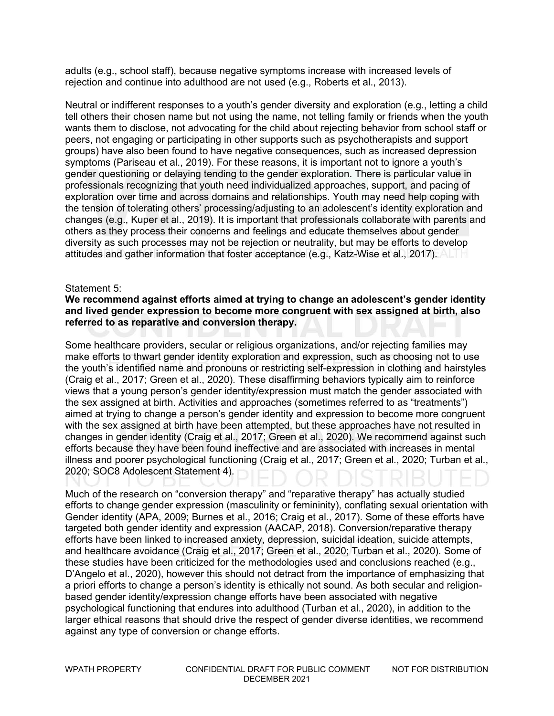adults (e.g., school staff), because negative symptoms increase with increased levels of rejection and continue into adulthood are not used (e.g., Roberts et al., 2013).

Neutral or indifferent responses to a youth's gender diversity and exploration (e.g., letting a child tell others their chosen name but not using the name, not telling family or friends when the youth wants them to disclose, not advocating for the child about rejecting behavior from school staff or peers, not engaging or participating in other supports such as psychotherapists and support groups) have also been found to have negative consequences, such as increased depression symptoms (Pariseau et al., 2019). For these reasons, it is important not to ignore a youth's gender questioning or delaying tending to the gender exploration. There is particular value in professionals recognizing that youth need individualized approaches, support, and pacing of exploration over time and across domains and relationships. Youth may need help coping with the tension of tolerating others' processing/adjusting to an adolescent's identity exploration and changes (e.g., Kuper et al., 2019). It is important that professionals collaborate with parents and others as they process their concerns and feelings and educate themselves about gender diversity as such processes may not be rejection or neutrality, but may be efforts to develop attitudes and gather information that foster acceptance (e.g., Katz-Wise et al., 2017).

#### Statement 5:

#### **We recommend against efforts aimed at trying to change an adolescent's gender identity and lived gender expression to become more congruent with sex assigned at birth, also referred to as reparative and conversion therapy.**

Some healthcare providers, secular or religious organizations, and/or rejecting families may make efforts to thwart gender identity exploration and expression, such as choosing not to use the youth's identified name and pronouns or restricting self-expression in clothing and hairstyles (Craig et al., 2017; Green et al., 2020). These disaffirming behaviors typically aim to reinforce views that a young person's gender identity/expression must match the gender associated with the sex assigned at birth. Activities and approaches (sometimes referred to as "treatments") aimed at trying to change a person's gender identity and expression to become more congruent with the sex assigned at birth have been attempted, but these approaches have not resulted in changes in gender identity (Craig et al., 2017; Green et al., 2020). We recommend against such efforts because they have been found ineffective and are associated with increases in mental illness and poorer psychological functioning (Craig et al., 2017; Green et al., 2020; Turban et al., 2020; SOC8 Adolescent Statement 4).

Much of the research on "conversion therapy" and "reparative therapy" has actually studied efforts to change gender expression (masculinity or femininity), conflating sexual orientation with Gender identity (APA, 2009; Burnes et al., 2016; Craig et al., 2017). Some of these efforts have targeted both gender identity and expression (AACAP, 2018). Conversion/reparative therapy efforts have been linked to increased anxiety, depression, suicidal ideation, suicide attempts, and healthcare avoidance (Craig et al., 2017; Green et al., 2020; Turban et al., 2020). Some of these studies have been criticized for the methodologies used and conclusions reached (e.g., D'Angelo et al., 2020), however this should not detract from the importance of emphasizing that a priori efforts to change a person's identity is ethically not sound. As both secular and religionbased gender identity/expression change efforts have been associated with negative psychological functioning that endures into adulthood (Turban et al., 2020), in addition to the larger ethical reasons that should drive the respect of gender diverse identities, we recommend against any type of conversion or change efforts.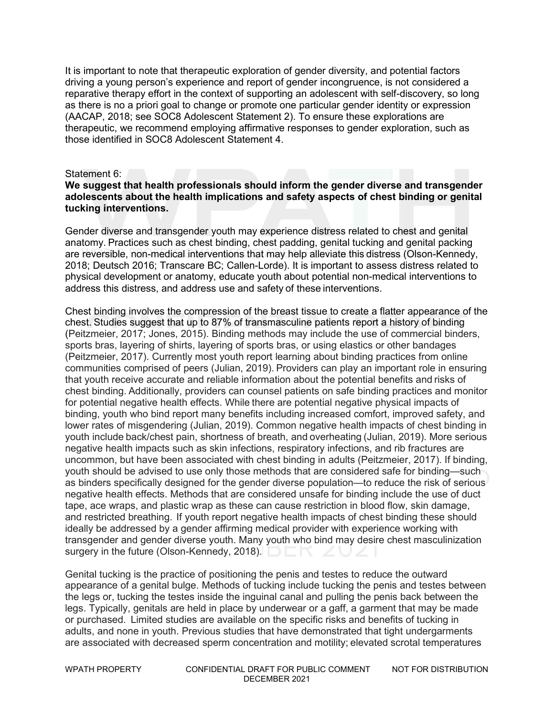It is important to note that therapeutic exploration of gender diversity, and potential factors driving a young person's experience and report of gender incongruence, is not considered a reparative therapy effort in the context of supporting an adolescent with self-discovery, so long as there is no a priori goal to change or promote one particular gender identity or expression (AACAP, 2018; see SOC8 Adolescent Statement 2). To ensure these explorations are therapeutic, we recommend employing affirmative responses to gender exploration, such as those identified in SOC8 Adolescent Statement 4.

#### Statement 6:

#### **We suggest that health professionals should inform the gender diverse and transgender adolescents about the health implications and safety aspects of chest binding or genital tucking interventions.**

Gender diverse and transgender youth may experience distress related to chest and genital anatomy. Practices such as chest binding, chest padding, genital tucking and genital packing are reversible, non-medical interventions that may help alleviate this distress (Olson-Kennedy, 2018; Deutsch 2016; Transcare BC; Callen-Lorde). It is important to assess distress related to physical development or anatomy, educate youth about potential non-medical interventions to address this distress, and address use and safety of these interventions. 

Chest binding involves the compression of the breast tissue to create a flatter appearance of the chest. Studies suggest that up to 87% of transmasculine patients report a history of binding (Peitzmeier, 2017; Jones, 2015). Binding methods may include the use of commercial binders, sports bras, layering of shirts, layering of sports bras, or using elastics or other bandages (Peitzmeier, 2017). Currently most youth report learning about binding practices from online communities comprised of peers (Julian, 2019). Providers can play an important role in ensuring that youth receive accurate and reliable information about the potential benefits and risks of chest binding. Additionally, providers can counsel patients on safe binding practices and monitor for potential negative health effects. While there are potential negative physical impacts of binding, youth who bind report many benefits including increased comfort, improved safety, and lower rates of misgendering (Julian, 2019). Common negative health impacts of chest binding in youth include back/chest pain, shortness of breath, and overheating (Julian, 2019). More serious negative health impacts such as skin infections, respiratory infections, and rib fractures are uncommon, but have been associated with chest binding in adults (Peitzmeier, 2017). If binding, youth should be advised to use only those methods that are considered safe for binding—such as binders specifically designed for the gender diverse population—to reduce the risk of serious negative health effects. Methods that are considered unsafe for binding include the use of duct tape, ace wraps, and plastic wrap as these can cause restriction in blood flow, skin damage, and restricted breathing. If youth report negative health impacts of chest binding these should ideally be addressed by a gender affirming medical provider with experience working with transgender and gender diverse youth. Many youth who bind may desire chest masculinization surgery in the future (Olson-Kennedy, 2018).

Genital tucking is the practice of positioning the penis and testes to reduce the outward appearance of a genital bulge. Methods of tucking include tucking the penis and testes between the legs or, tucking the testes inside the inguinal canal and pulling the penis back between the legs. Typically, genitals are held in place by underwear or a gaff, a garment that may be made or purchased.  Limited studies are available on the specific risks and benefits of tucking in adults, and none in youth. Previous studies that have demonstrated that tight undergarments are associated with decreased sperm concentration and motility; elevated scrotal temperatures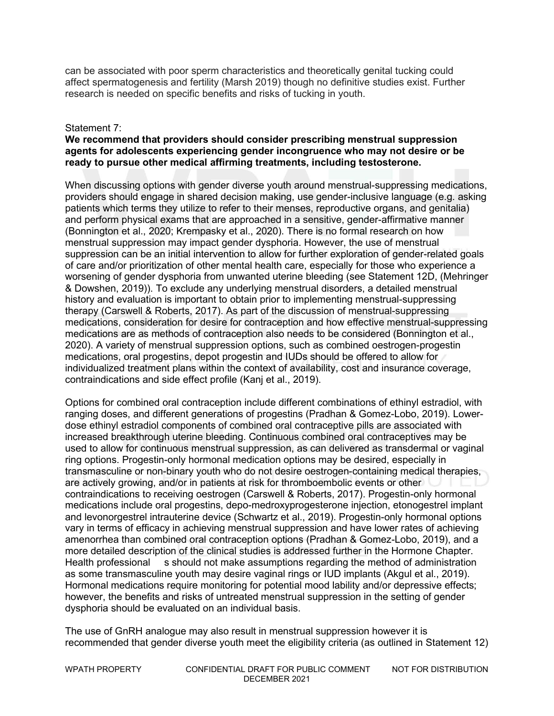can be associated with poor sperm characteristics and theoretically genital tucking could affect spermatogenesis and fertility (Marsh 2019) though no definitive studies exist. Further research is needed on specific benefits and risks of tucking in youth. 

#### Statement 7:

#### **We recommend that providers should consider prescribing menstrual suppression agents for adolescents experiencing gender incongruence who may not desire or be ready to pursue other medical affirming treatments, including testosterone.**

When discussing options with gender diverse youth around menstrual-suppressing medications, providers should engage in shared decision making, use gender-inclusive language (e.g. asking patients which terms they utilize to refer to their menses, reproductive organs, and genitalia) and perform physical exams that are approached in a sensitive, gender-affirmative manner (Bonnington et al., 2020; Krempasky et al., 2020). There is no formal research on how menstrual suppression may impact gender dysphoria. However, the use of menstrual suppression can be an initial intervention to allow for further exploration of gender-related goals of care and/or prioritization of other mental health care, especially for those who experience a worsening of gender dysphoria from unwanted uterine bleeding (see Statement 12D, (Mehringer & Dowshen, 2019)). To exclude any underlying menstrual disorders, a detailed menstrual history and evaluation is important to obtain prior to implementing menstrual-suppressing therapy (Carswell & Roberts, 2017). As part of the discussion of menstrual-suppressing medications, consideration for desire for contraception and how effective menstrual-suppressing medications are as methods of contraception also needs to be considered (Bonnington et al., 2020). A variety of menstrual suppression options, such as combined oestrogen-progestin medications, oral progestins, depot progestin and IUDs should be offered to allow for individualized treatment plans within the context of availability, cost and insurance coverage, contraindications and side effect profile (Kanj et al., 2019).

Options for combined oral contraception include different combinations of ethinyl estradiol, with ranging doses, and different generations of progestins (Pradhan & Gomez-Lobo, 2019). Lowerdose ethinyl estradiol components of combined oral contraceptive pills are associated with increased breakthrough uterine bleeding. Continuous combined oral contraceptives may be used to allow for continuous menstrual suppression, as can delivered as transdermal or vaginal ring options. Progestin-only hormonal medication options may be desired, especially in transmasculine or non-binary youth who do not desire oestrogen-containing medical therapies, are actively growing, and/or in patients at risk for thromboembolic events or other contraindications to receiving oestrogen (Carswell & Roberts, 2017). Progestin-only hormonal medications include oral progestins, depo-medroxyprogesterone injection, etonogestrel implant and levonorgestrel intrauterine device (Schwartz et al., 2019). Progestin-only hormonal options vary in terms of efficacy in achieving menstrual suppression and have lower rates of achieving amenorrhea than combined oral contraception options (Pradhan & Gomez-Lobo, 2019), and a more detailed description of the clinical studies is addressed further in the Hormone Chapter. Health professional s should not make assumptions regarding the method of administration as some transmasculine youth may desire vaginal rings or IUD implants (Akgul et al., 2019). Hormonal medications require monitoring for potential mood lability and/or depressive effects; however, the benefits and risks of untreated menstrual suppression in the setting of gender dysphoria should be evaluated on an individual basis.

The use of GnRH analogue may also result in menstrual suppression however it is recommended that gender diverse youth meet the eligibility criteria (as outlined in Statement 12)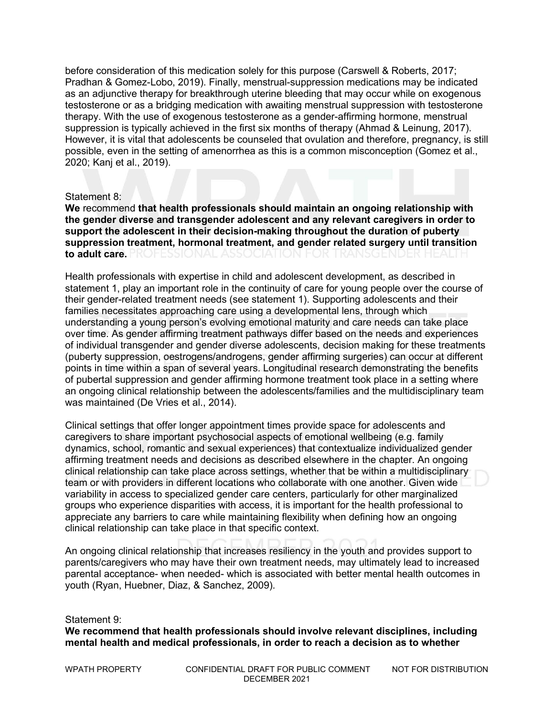before consideration of this medication solely for this purpose (Carswell & Roberts, 2017; Pradhan & Gomez-Lobo, 2019). Finally, menstrual-suppression medications may be indicated as an adjunctive therapy for breakthrough uterine bleeding that may occur while on exogenous testosterone or as a bridging medication with awaiting menstrual suppression with testosterone therapy. With the use of exogenous testosterone as a gender-affirming hormone, menstrual suppression is typically achieved in the first six months of therapy (Ahmad & Leinung, 2017). However, it is vital that adolescents be counseled that ovulation and therefore, pregnancy, is still possible, even in the setting of amenorrhea as this is a common misconception (Gomez et al., 2020; Kanj et al., 2019).

#### Statement 8:

**We** recommend **that health professionals should maintain an ongoing relationship with the gender diverse and transgender adolescent and any relevant caregivers in order to support the adolescent in their decision-making throughout the duration of puberty suppression treatment, hormonal treatment, and gender related surgery until transition to adult care.**

Health professionals with expertise in child and adolescent development, as described in statement 1, play an important role in the continuity of care for young people over the course of their gender-related treatment needs (see statement 1). Supporting adolescents and their families necessitates approaching care using a developmental lens, through which understanding a young person's evolving emotional maturity and care needs can take place over time. As gender affirming treatment pathways differ based on the needs and experiences of individual transgender and gender diverse adolescents, decision making for these treatments (puberty suppression, oestrogens/androgens, gender affirming surgeries) can occur at different points in time within a span of several years. Longitudinal research demonstrating the benefits of pubertal suppression and gender affirming hormone treatment took place in a setting where an ongoing clinical relationship between the adolescents/families and the multidisciplinary team was maintained (De Vries et al., 2014).

Clinical settings that offer longer appointment times provide space for adolescents and caregivers to share important psychosocial aspects of emotional wellbeing (e.g. family dynamics, school, romantic and sexual experiences) that contextualize individualized gender affirming treatment needs and decisions as described elsewhere in the chapter. An ongoing clinical relationship can take place across settings, whether that be within a multidisciplinary team or with providers in different locations who collaborate with one another. Given wide variability in access to specialized gender care centers, particularly for other marginalized groups who experience disparities with access, it is important for the health professional to appreciate any barriers to care while maintaining flexibility when defining how an ongoing clinical relationship can take place in that specific context.

An ongoing clinical relationship that increases resiliency in the youth and provides support to parents/caregivers who may have their own treatment needs, may ultimately lead to increased parental acceptance- when needed- which is associated with better mental health outcomes in youth (Ryan, Huebner, Diaz, & Sanchez, 2009).

Statement 9:

**We recommend that health professionals should involve relevant disciplines, including mental health and medical professionals, in order to reach a decision as to whether**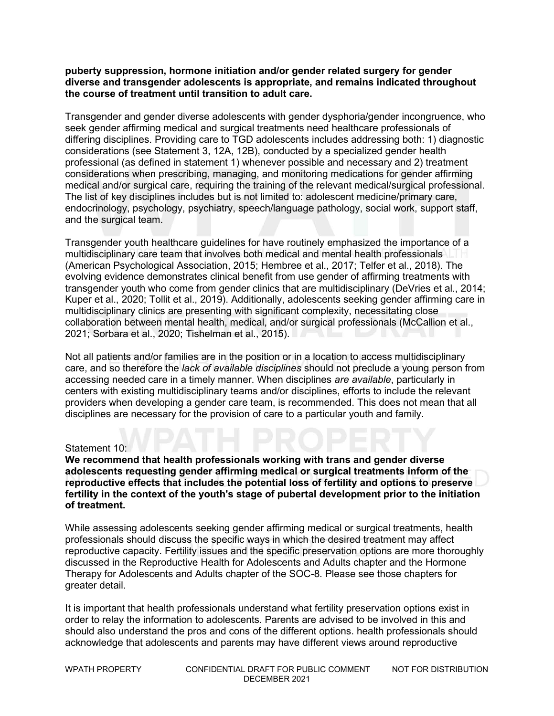#### **puberty suppression, hormone initiation and/or gender related surgery for gender diverse and transgender adolescents is appropriate, and remains indicated throughout the course of treatment until transition to adult care.**

Transgender and gender diverse adolescents with gender dysphoria/gender incongruence, who seek gender affirming medical and surgical treatments need healthcare professionals of differing disciplines. Providing care to TGD adolescents includes addressing both: 1) diagnostic considerations (see Statement 3, 12A, 12B), conducted by a specialized gender health professional (as defined in statement 1) whenever possible and necessary and 2) treatment considerations when prescribing, managing, and monitoring medications for gender affirming medical and/or surgical care, requiring the training of the relevant medical/surgical professional. The list of key disciplines includes but is not limited to: adolescent medicine/primary care, endocrinology, psychology, psychiatry, speech/language pathology, social work, support staff, and the surgical team.

Transgender youth healthcare guidelines for have routinely emphasized the importance of a multidisciplinary care team that involves both medical and mental health professionals (American Psychological Association, 2015; Hembree et al., 2017; Telfer et al., 2018). The evolving evidence demonstrates clinical benefit from use gender of affirming treatments with transgender youth who come from gender clinics that are multidisciplinary (DeVries et al., 2014; Kuper et al., 2020; Tollit et al., 2019). Additionally, adolescents seeking gender affirming care in multidisciplinary clinics are presenting with significant complexity, necessitating close collaboration between mental health, medical, and/or surgical professionals (McCallion et al., 2021; Sorbara et al., 2020; Tishelman et al., 2015).

Not all patients and/or families are in the position or in a location to access multidisciplinary care, and so therefore the *lack of available disciplines* should not preclude a young person from accessing needed care in a timely manner. When disciplines *are available*, particularly in centers with existing multidisciplinary teams and/or disciplines, efforts to include the relevant providers when developing a gender care team, is recommended. This does not mean that all disciplines are necessary for the provision of care to a particular youth and family.

#### Statement 10:

**We recommend that health professionals working with trans and gender diverse adolescents requesting gender affirming medical or surgical treatments inform of the reproductive effects that includes the potential loss of fertility and options to preserve fertility in the context of the youth's stage of pubertal development prior to the initiation of treatment.**

While assessing adolescents seeking gender affirming medical or surgical treatments, health professionals should discuss the specific ways in which the desired treatment may affect reproductive capacity. Fertility issues and the specific preservation options are more thoroughly discussed in the Reproductive Health for Adolescents and Adults chapter and the Hormone Therapy for Adolescents and Adults chapter of the SOC-8. Please see those chapters for greater detail.

It is important that health professionals understand what fertility preservation options exist in order to relay the information to adolescents. Parents are advised to be involved in this and should also understand the pros and cons of the different options. health professionals should acknowledge that adolescents and parents may have different views around reproductive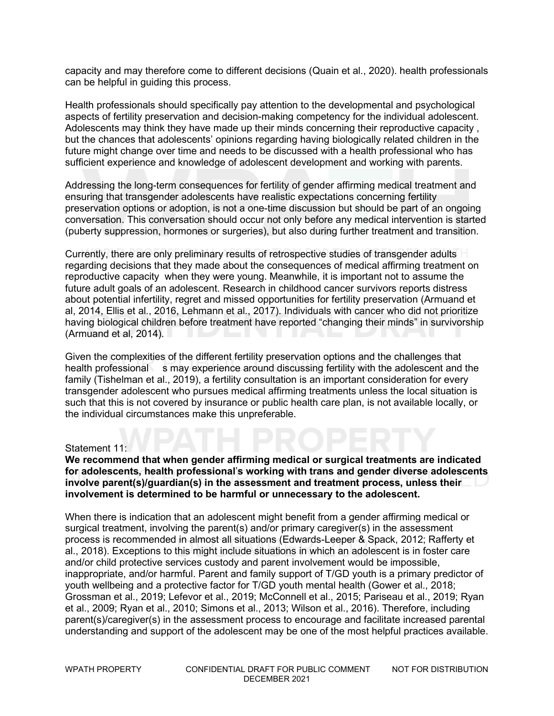capacity and may therefore come to different decisions (Quain et al., 2020). health professionals can be helpful in guiding this process.

Health professionals should specifically pay attention to the developmental and psychological aspects of fertility preservation and decision-making competency for the individual adolescent. Adolescents may think they have made up their minds concerning their reproductive capacity, but the chances that adolescents' opinions regarding having biologically related children in the future might change over time and needs to be discussed with a health professional who has sufficient experience and knowledge of adolescent development and working with parents.

Addressing the long-term consequences for fertility of gender affirming medical treatment and ensuring that transgender adolescents have realistic expectations concerning fertility preservation options or adoption, is not a one-time discussion but should be part of an ongoing conversation. This conversation should occur not only before any medical intervention is started (puberty suppression, hormones or surgeries), but also during further treatment and transition.

Currently, there are only preliminary results of retrospective studies of transgender adults regarding decisions that they made about the consequences of medical affirming treatment on reproductive capacity when they were young. Meanwhile, it is important not to assume the future adult goals of an adolescent. Research in childhood cancer survivors reports distress about potential infertility, regret and missed opportunities for fertility preservation (Armuand et al, 2014, Ellis et al., 2016, Lehmann et al., 2017). Individuals with cancer who did not prioritize having biological children before treatment have reported "changing their minds" in survivorship (Armuand et al, 2014).

Given the complexities of the different fertility preservation options and the challenges that health professional s may experience around discussing fertility with the adolescent and the family (Tishelman et al., 2019), a fertility consultation is an important consideration for every transgender adolescent who pursues medical affirming treatments unless the local situation is such that this is not covered by insurance or public health care plan, is not available locally, or the individual circumstances make this unpreferable.

#### Statement 11:

#### **We recommend that when gender affirming medical or surgical treatments are indicated for adolescents, health professional**'**s working with trans and gender diverse adolescents involve parent(s)/guardian(s) in the assessment and treatment process, unless their involvement is determined to be harmful or unnecessary to the adolescent.**

When there is indication that an adolescent might benefit from a gender affirming medical or surgical treatment, involving the parent(s) and/or primary caregiver(s) in the assessment process is recommended in almost all situations (Edwards-Leeper & Spack, 2012; Rafferty et al., 2018). Exceptions to this might include situations in which an adolescent is in foster care and/or child protective services custody and parent involvement would be impossible, inappropriate, and/or harmful. Parent and family support of T/GD youth is a primary predictor of youth wellbeing and a protective factor for T/GD youth mental health (Gower et al., 2018; Grossman et al., 2019; Lefevor et al., 2019; McConnell et al., 2015; Pariseau et al., 2019; Ryan et al., 2009; Ryan et al., 2010; Simons et al., 2013; Wilson et al., 2016). Therefore, including parent(s)/caregiver(s) in the assessment process to encourage and facilitate increased parental understanding and support of the adolescent may be one of the most helpful practices available.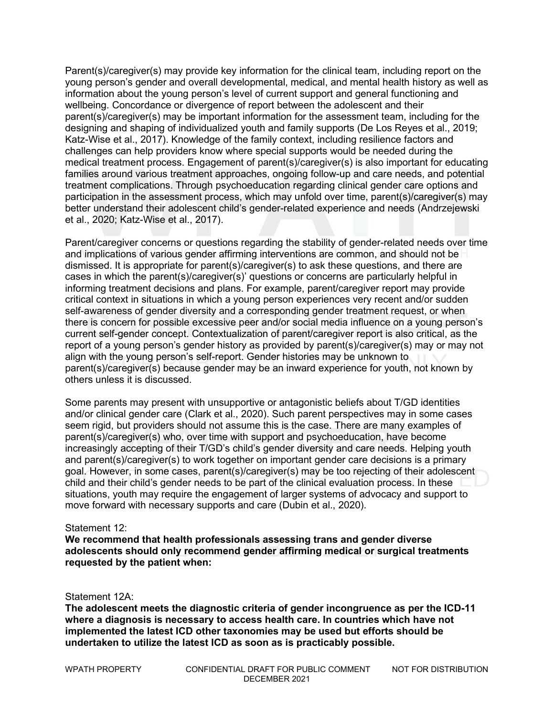Parent(s)/caregiver(s) may provide key information for the clinical team, including report on the young person's gender and overall developmental, medical, and mental health history as well as information about the young person's level of current support and general functioning and wellbeing. Concordance or divergence of report between the adolescent and their parent(s)/caregiver(s) may be important information for the assessment team, including for the designing and shaping of individualized youth and family supports (De Los Reyes et al., 2019; Katz-Wise et al., 2017). Knowledge of the family context, including resilience factors and challenges can help providers know where special supports would be needed during the medical treatment process. Engagement of parent(s)/caregiver(s) is also important for educating families around various treatment approaches, ongoing follow-up and care needs, and potential treatment complications. Through psychoeducation regarding clinical gender care options and participation in the assessment process, which may unfold over time, parent(s)/caregiver(s) may better understand their adolescent child's gender-related experience and needs (Andrzejewski et al., 2020; Katz-Wise et al., 2017).

Parent/caregiver concerns or questions regarding the stability of gender-related needs over time and implications of various gender affirming interventions are common, and should not be dismissed. It is appropriate for parent(s)/caregiver(s) to ask these questions, and there are cases in which the parent(s)/caregiver(s)' questions or concerns are particularly helpful in informing treatment decisions and plans. For example, parent/caregiver report may provide critical context in situations in which a young person experiences very recent and/or sudden self-awareness of gender diversity and a corresponding gender treatment request, or when there is concern for possible excessive peer and/or social media influence on a young person's current self-gender concept. Contextualization of parent/caregiver report is also critical, as the report of a young person's gender history as provided by parent(s)/caregiver(s) may or may not align with the young person's self-report. Gender histories may be unknown to parent(s)/caregiver(s) because gender may be an inward experience for youth, not known by others unless it is discussed.

Some parents may present with unsupportive or antagonistic beliefs about T/GD identities and/or clinical gender care (Clark et al., 2020). Such parent perspectives may in some cases seem rigid, but providers should not assume this is the case. There are many examples of parent(s)/caregiver(s) who, over time with support and psychoeducation, have become increasingly accepting of their T/GD's child's gender diversity and care needs. Helping youth and parent(s)/caregiver(s) to work together on important gender care decisions is a primary goal. However, in some cases, parent(s)/caregiver(s) may be too rejecting of their adolescent child and their child's gender needs to be part of the clinical evaluation process. In these situations, youth may require the engagement of larger systems of advocacy and support to move forward with necessary supports and care (Dubin et al., 2020).

#### Statement 12:

**We recommend that health professionals assessing trans and gender diverse adolescents should only recommend gender affirming medical or surgical treatments requested by the patient when:**

Statement 12A:

**The adolescent meets the diagnostic criteria of gender incongruence as per the ICD-11 where a diagnosis is necessary to access health care. In countries which have not implemented the latest ICD other taxonomies may be used but efforts should be undertaken to utilize the latest ICD as soon as is practicably possible.**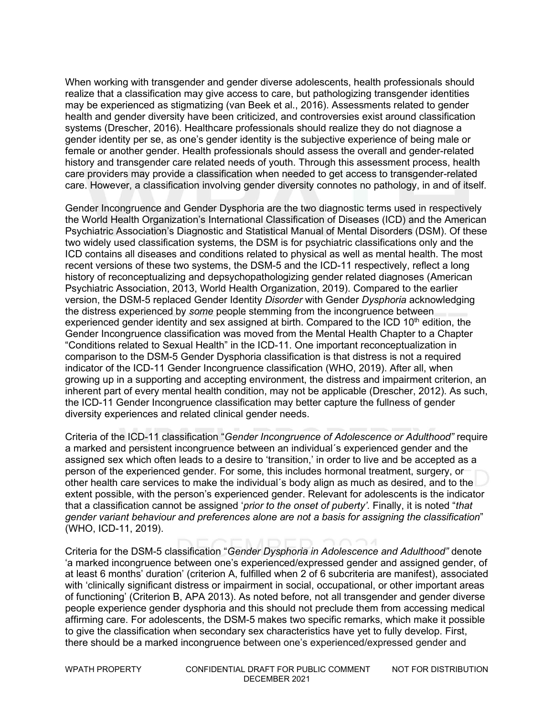When working with transgender and gender diverse adolescents, health professionals should realize that a classification may give access to care, but pathologizing transgender identities may be experienced as stigmatizing (van Beek et al., 2016). Assessments related to gender health and gender diversity have been criticized, and controversies exist around classification systems (Drescher, 2016). Healthcare professionals should realize they do not diagnose a gender identity per se, as one's gender identity is the subjective experience of being male or female or another gender. Health professionals should assess the overall and gender-related history and transgender care related needs of youth. Through this assessment process, health care providers may provide a classification when needed to get access to transgender-related care. However, a classification involving gender diversity connotes no pathology, in and of itself.

Gender Incongruence and Gender Dysphoria are the two diagnostic terms used in respectively the World Health Organization's International Classification of Diseases (ICD) and the American Psychiatric Association's Diagnostic and Statistical Manual of Mental Disorders (DSM). Of these two widely used classification systems, the DSM is for psychiatric classifications only and the ICD contains all diseases and conditions related to physical as well as mental health. The most recent versions of these two systems, the DSM-5 and the ICD-11 respectively, reflect a long history of reconceptualizing and depsychopathologizing gender related diagnoses (American Psychiatric Association, 2013, World Health Organization, 2019). Compared to the earlier version, the DSM-5 replaced Gender Identity *Disorder* with Gender *Dysphoria* acknowledging the distress experienced by *some* people stemming from the incongruence between experienced gender identity and sex assigned at birth. Compared to the ICD  $10<sup>th</sup>$  edition, the Gender Incongruence classification was moved from the Mental Health Chapter to a Chapter "Conditions related to Sexual Health" in the ICD-11. One important reconceptualization in comparison to the DSM-5 Gender Dysphoria classification is that distress is not a required indicator of the ICD-11 Gender Incongruence classification (WHO, 2019). After all, when growing up in a supporting and accepting environment, the distress and impairment criterion, an inherent part of every mental health condition, may not be applicable (Drescher, 2012). As such, the ICD-11 Gender Incongruence classification may better capture the fullness of gender diversity experiences and related clinical gender needs.

Criteria of the ICD-11 classification "*Gender Incongruence of Adolescence or Adulthood"* require a marked and persistent incongruence between an individual´s experienced gender and the assigned sex which often leads to a desire to 'transition,' in order to live and be accepted as a person of the experienced gender. For some, this includes hormonal treatment, surgery, or other health care services to make the individual´s body align as much as desired, and to the extent possible, with the person's experienced gender. Relevant for adolescents is the indicator that a classification cannot be assigned '*prior to the onset of puberty'.* Finally, it is noted "*that gender variant behaviour and preferences alone are not a basis for assigning the classification*" (WHO, ICD-11, 2019).

Criteria for the DSM-5 classification "*Gender Dysphoria in Adolescence and Adulthood"* denote 'a marked incongruence between one's experienced/expressed gender and assigned gender, of at least 6 months' duration' (criterion A, fulfilled when 2 of 6 subcriteria are manifest), associated with 'clinically significant distress or impairment in social, occupational, or other important areas of functioning' (Criterion B, APA 2013). As noted before, not all transgender and gender diverse people experience gender dysphoria and this should not preclude them from accessing medical affirming care. For adolescents, the DSM-5 makes two specific remarks, which make it possible to give the classification when secondary sex characteristics have yet to fully develop. First, there should be a marked incongruence between one's experienced/expressed gender and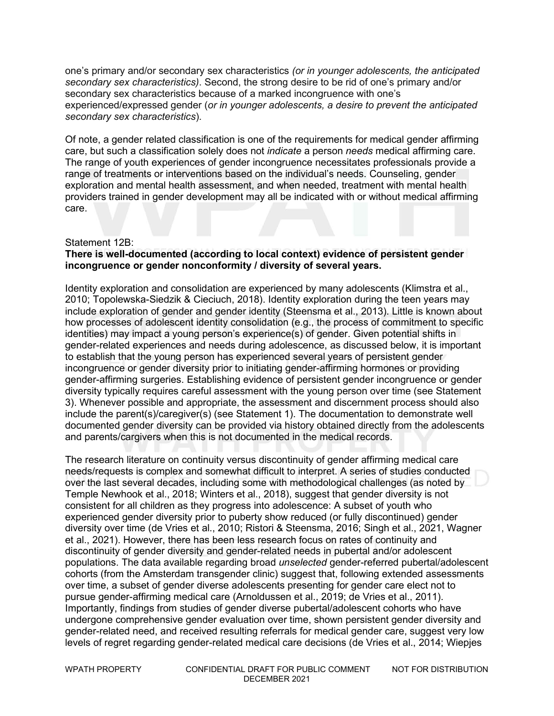one's primary and/or secondary sex characteristics *(or in younger adolescents, the anticipated secondary sex characteristics)*. Second, the strong desire to be rid of one's primary and/or secondary sex characteristics because of a marked incongruence with one's experienced/expressed gender (*or in younger adolescents, a desire to prevent the anticipated secondary sex characteristics*).

Of note, a gender related classification is one of the requirements for medical gender affirming care, but such a classification solely does not *indicate* a person *needs* medical affirming care. The range of youth experiences of gender incongruence necessitates professionals provide a range of treatments or interventions based on the individual's needs. Counseling, gender exploration and mental health assessment, and when needed, treatment with mental health providers trained in gender development may all be indicated with or without medical affirming care.

#### Statement 12B:

#### **There is well-documented (according to local context) evidence of persistent gender incongruence or gender nonconformity / diversity of several years.**

Identity exploration and consolidation are experienced by many adolescents (Klimstra et al., 2010; Topolewska-Siedzik & Cieciuch, 2018). Identity exploration during the teen years may include exploration of gender and gender identity (Steensma et al., 2013). Little is known about how processes of adolescent identity consolidation (e.g., the process of commitment to specific identities) may impact a young person's experience(s) of gender. Given potential shifts in gender-related experiences and needs during adolescence, as discussed below, it is important to establish that the young person has experienced several years of persistent gender incongruence or gender diversity prior to initiating gender-affirming hormones or providing gender-affirming surgeries. Establishing evidence of persistent gender incongruence or gender diversity typically requires careful assessment with the young person over time (see Statement 3). Whenever possible and appropriate, the assessment and discernment process should also include the parent(s)/caregiver(s) (see Statement 1). The documentation to demonstrate well documented gender diversity can be provided via history obtained directly from the adolescents and parents/cargivers when this is not documented in the medical records.

The research literature on continuity versus discontinuity of gender affirming medical care needs/requests is complex and somewhat difficult to interpret. A series of studies conducted over the last several decades, including some with methodological challenges (as noted by Temple Newhook et al., 2018; Winters et al., 2018), suggest that gender diversity is not consistent for all children as they progress into adolescence: A subset of youth who experienced gender diversity prior to puberty show reduced (or fully discontinued) gender diversity over time (de Vries et al., 2010; Ristori & Steensma, 2016; Singh et al., 2021, Wagner et al., 2021). However, there has been less research focus on rates of continuity and discontinuity of gender diversity and gender-related needs in pubertal and/or adolescent populations. The data available regarding broad *unselected* gender-referred pubertal/adolescent cohorts (from the Amsterdam transgender clinic) suggest that, following extended assessments over time, a subset of gender diverse adolescents presenting for gender care elect not to pursue gender-affirming medical care (Arnoldussen et al., 2019; de Vries et al., 2011). Importantly, findings from studies of gender diverse pubertal/adolescent cohorts who have undergone comprehensive gender evaluation over time, shown persistent gender diversity and gender-related need, and received resulting referrals for medical gender care, suggest very low levels of regret regarding gender-related medical care decisions (de Vries et al., 2014; Wiepjes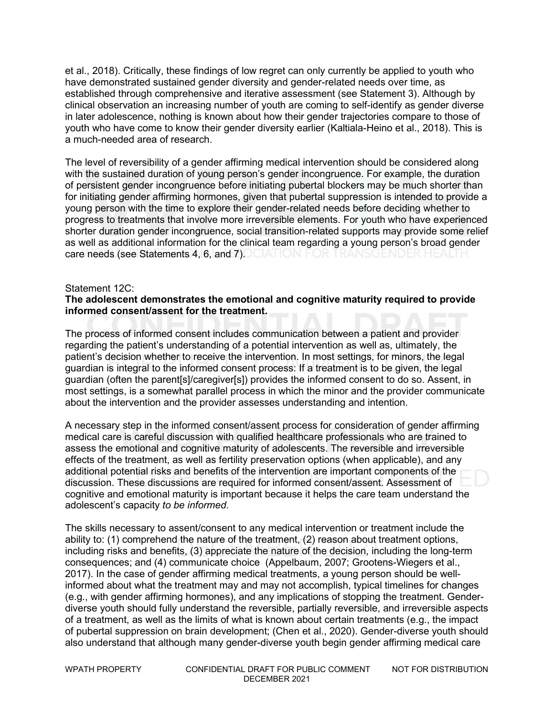et al., 2018). Critically, these findings of low regret can only currently be applied to youth who have demonstrated sustained gender diversity and gender-related needs over time, as established through comprehensive and iterative assessment (see Statement 3). Although by clinical observation an increasing number of youth are coming to self-identify as gender diverse in later adolescence, nothing is known about how their gender trajectories compare to those of youth who have come to know their gender diversity earlier (Kaltiala-Heino et al., 2018). This is a much-needed area of research.

The level of reversibility of a gender affirming medical intervention should be considered along with the sustained duration of young person's gender incongruence. For example, the duration of persistent gender incongruence before initiating pubertal blockers may be much shorter than for initiating gender affirming hormones, given that pubertal suppression is intended to provide a young person with the time to explore their gender-related needs before deciding whether to progress to treatments that involve more irreversible elements. For youth who have experienced shorter duration gender incongruence, social transition-related supports may provide some relief as well as additional information for the clinical team regarding a young person's broad gender care needs (see Statements 4, 6, and 7). CIATION FOR TRANSGENDER HEALTH

#### Statement 12C:

#### **The adolescent demonstrates the emotional and cognitive maturity required to provide informed consent/assent for the treatment.**

The process of informed consent includes communication between a patient and provider regarding the patient's understanding of a potential intervention as well as, ultimately, the patient's decision whether to receive the intervention. In most settings, for minors, the legal guardian is integral to the informed consent process: If a treatment is to be given, the legal guardian (often the parent[s]/caregiver[s]) provides the informed consent to do so. Assent, in most settings, is a somewhat parallel process in which the minor and the provider communicate about the intervention and the provider assesses understanding and intention.

A necessary step in the informed consent/assent process for consideration of gender affirming medical care is careful discussion with qualified healthcare professionals who are trained to assess the emotional and cognitive maturity of adolescents. The reversible and irreversible effects of the treatment, as well as fertility preservation options (when applicable), and any additional potential risks and benefits of the intervention are important components of the discussion. These discussions are required for informed consent/assent. Assessment of cognitive and emotional maturity is important because it helps the care team understand the adolescent's capacity *to be informed*.

The skills necessary to assent/consent to any medical intervention or treatment include the ability to: (1) comprehend the nature of the treatment, (2) reason about treatment options, including risks and benefits, (3) appreciate the nature of the decision, including the long-term consequences; and (4) communicate choice (Appelbaum, 2007; Grootens-Wiegers et al., 2017). In the case of gender affirming medical treatments, a young person should be wellinformed about what the treatment may and may not accomplish, typical timelines for changes (e.g., with gender affirming hormones), and any implications of stopping the treatment. Genderdiverse youth should fully understand the reversible, partially reversible, and irreversible aspects of a treatment, as well as the limits of what is known about certain treatments (e.g., the impact of pubertal suppression on brain development; (Chen et al., 2020). Gender-diverse youth should also understand that although many gender-diverse youth begin gender affirming medical care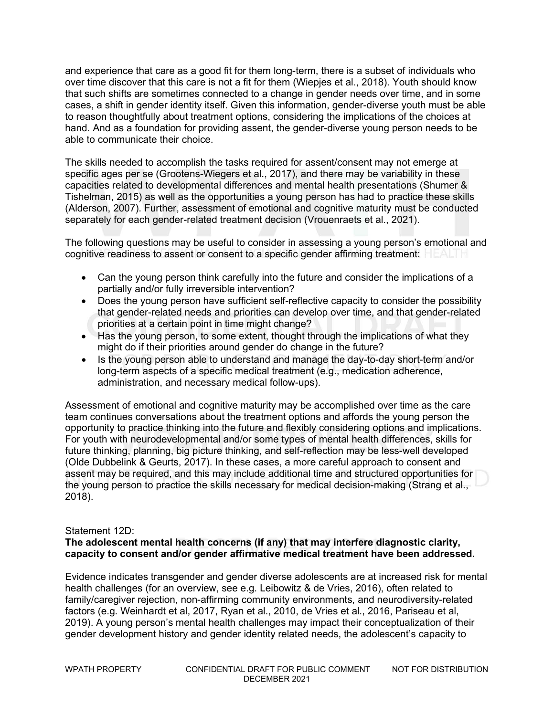and experience that care as a good fit for them long-term, there is a subset of individuals who over time discover that this care is not a fit for them (Wiepjes et al., 2018). Youth should know that such shifts are sometimes connected to a change in gender needs over time, and in some cases, a shift in gender identity itself. Given this information, gender-diverse youth must be able to reason thoughtfully about treatment options, considering the implications of the choices at hand. And as a foundation for providing assent, the gender-diverse young person needs to be able to communicate their choice.

The skills needed to accomplish the tasks required for assent/consent may not emerge at specific ages per se (Grootens-Wiegers et al., 2017), and there may be variability in these capacities related to developmental differences and mental health presentations (Shumer & Tishelman, 2015) as well as the opportunities a young person has had to practice these skills (Alderson, 2007). Further, assessment of emotional and cognitive maturity must be conducted separately for each gender-related treatment decision (Vrouenraets et al., 2021).

The following questions may be useful to consider in assessing a young person's emotional and cognitive readiness to assent or consent to a specific gender affirming treatment:

- Can the young person think carefully into the future and consider the implications of a partially and/or fully irreversible intervention?
- Does the young person have sufficient self-reflective capacity to consider the possibility that gender-related needs and priorities can develop over time, and that gender-related priorities at a certain point in time might change?
- Has the young person, to some extent, thought through the implications of what they might do if their priorities around gender do change in the future?
- Is the young person able to understand and manage the day-to-day short-term and/or long-term aspects of a specific medical treatment (e.g., medication adherence, administration, and necessary medical follow-ups).

Assessment of emotional and cognitive maturity may be accomplished over time as the care team continues conversations about the treatment options and affords the young person the opportunity to practice thinking into the future and flexibly considering options and implications. For youth with neurodevelopmental and/or some types of mental health differences, skills for future thinking, planning, big picture thinking, and self-reflection may be less-well developed (Olde Dubbelink & Geurts, 2017). In these cases, a more careful approach to consent and assent may be required, and this may include additional time and structured opportunities for the young person to practice the skills necessary for medical decision-making (Strang et al., 2018).

#### Statement 12D:

#### **The adolescent mental health concerns (if any) that may interfere diagnostic clarity, capacity to consent and/or gender affirmative medical treatment have been addressed.**

Evidence indicates transgender and gender diverse adolescents are at increased risk for mental health challenges (for an overview, see e.g. Leibowitz & de Vries, 2016), often related to family/caregiver rejection, non-affirming community environments, and neurodiversity-related factors (e.g. Weinhardt et al, 2017, Ryan et al., 2010, de Vries et al., 2016, Pariseau et al, 2019). A young person's mental health challenges may impact their conceptualization of their gender development history and gender identity related needs, the adolescent's capacity to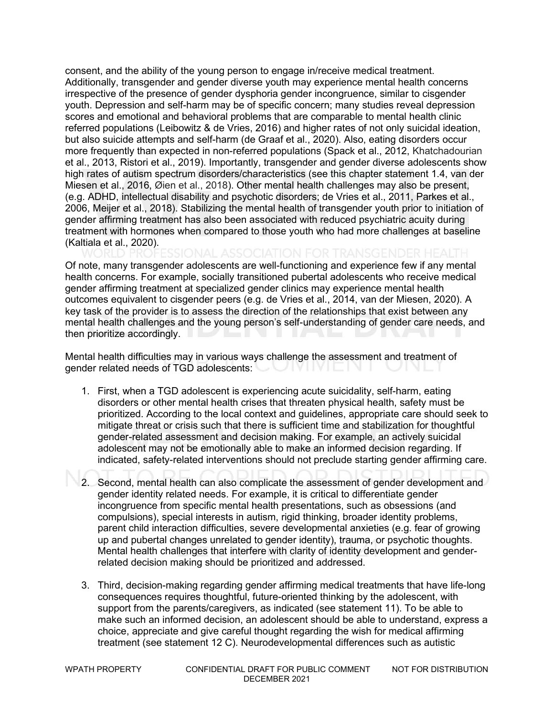consent, and the ability of the young person to engage in/receive medical treatment. Additionally, transgender and gender diverse youth may experience mental health concerns irrespective of the presence of gender dysphoria gender incongruence, similar to cisgender youth. Depression and self-harm may be of specific concern; many studies reveal depression scores and emotional and behavioral problems that are comparable to mental health clinic referred populations (Leibowitz & de Vries, 2016) and higher rates of not only suicidal ideation, but also suicide attempts and self-harm (de Graaf et al., 2020). Also, eating disorders occur more frequently than expected in non-referred populations (Spack et al., 2012, Khatchadourian et al., 2013, Ristori et al., 2019). Importantly, transgender and gender diverse adolescents show high rates of autism spectrum disorders/characteristics (see this chapter statement 1.4, van der Miesen et al., 2016, Øien et al., 2018). Other mental health challenges may also be present, (e.g. ADHD, intellectual disability and psychotic disorders; de Vries et al., 2011, Parkes et al., 2006, Meijer et al., 2018). Stabilizing the mental health of transgender youth prior to initiation of gender affirming treatment has also been associated with reduced psychiatric acuity during treatment with hormones when compared to those youth who had more challenges at baseline (Kaltiala et al., 2020).

Of note, many transgender adolescents are well-functioning and experience few if any mental health concerns. For example, socially transitioned pubertal adolescents who receive medical gender affirming treatment at specialized gender clinics may experience mental health outcomes equivalent to cisgender peers (e.g. de Vries et al., 2014, van der Miesen, 2020). A key task of the provider is to assess the direction of the relationships that exist between any mental health challenges and the young person's self-understanding of gender care needs, and then prioritize accordingly.

Mental health difficulties may in various ways challenge the assessment and treatment of gender related needs of TGD adolescents:

- 1. First, when a TGD adolescent is experiencing acute suicidality, self-harm, eating disorders or other mental health crises that threaten physical health, safety must be prioritized. According to the local context and guidelines, appropriate care should seek to mitigate threat or crisis such that there is sufficient time and stabilization for thoughtful gender-related assessment and decision making. For example, an actively suicidal adolescent may not be emotionally able to make an informed decision regarding. If indicated, safety-related interventions should not preclude starting gender affirming care.
- 2. Second, mental health can also complicate the assessment of gender development and gender identity related needs. For example, it is critical to differentiate gender incongruence from specific mental health presentations, such as obsessions (and compulsions), special interests in autism, rigid thinking, broader identity problems, parent child interaction difficulties, severe developmental anxieties (e.g. fear of growing up and pubertal changes unrelated to gender identity), trauma, or psychotic thoughts. Mental health challenges that interfere with clarity of identity development and genderrelated decision making should be prioritized and addressed.
- 3. Third, decision-making regarding gender affirming medical treatments that have life-long consequences requires thoughtful, future-oriented thinking by the adolescent, with support from the parents/caregivers, as indicated (see statement 11). To be able to make such an informed decision, an adolescent should be able to understand, express a choice, appreciate and give careful thought regarding the wish for medical affirming treatment (see statement 12 C). Neurodevelopmental differences such as autistic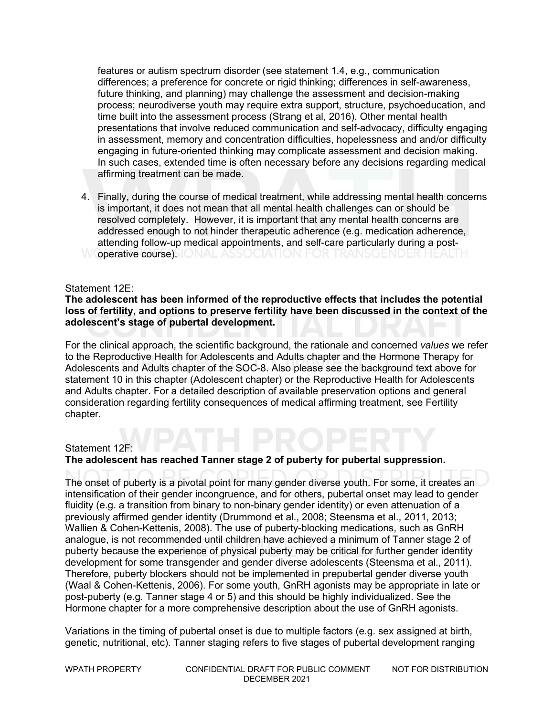features or autism spectrum disorder (see statement 1.4, e.g., communication differences; a preference for concrete or rigid thinking; differences in self-awareness, future thinking, and planning) may challenge the assessment and decision-making process; neurodiverse youth may require extra support, structure, psychoeducation, and time built into the assessment process (Strang et al, 2016). Other mental health presentations that involve reduced communication and self-advocacy, difficulty engaging in assessment, memory and concentration difficulties, hopelessness and and/or difficulty engaging in future-oriented thinking may complicate assessment and decision making. In such cases, extended time is often necessary before any decisions regarding medical affirming treatment can be made.

4. Finally, during the course of medical treatment, while addressing mental health concerns is important, it does not mean that all mental health challenges can or should be resolved completely. However, it is important that any mental health concerns are addressed enough to not hinder therapeutic adherence (e.g. medication adherence, attending follow-up medical appointments, and self-care particularly during a post-W **operative course). IONAL ASSOCIATION FOR TRANSGENDER HEALTH** 

#### Statement 12E:

#### **The adolescent has been informed of the reproductive effects that includes the potential loss of fertility, and options to preserve fertility have been discussed in the context of the adolescent's stage of pubertal development.**

For the clinical approach, the scientific background, the rationale and concerned *values* we refer to the Reproductive Health for Adolescents and Adults chapter and the Hormone Therapy for Adolescents and Adults chapter of the SOC-8. Also please see the background text above for statement 10 in this chapter (Adolescent chapter) or the Reproductive Health for Adolescents and Adults chapter. For a detailed description of available preservation options and general consideration regarding fertility consequences of medical affirming treatment, see Fertility chapter.

#### Statement 12F:

#### **The adolescent has reached Tanner stage 2 of puberty for pubertal suppression.**

The onset of puberty is a pivotal point for many gender diverse youth. For some, it creates an intensification of their gender incongruence, and for others, pubertal onset may lead to gender fluidity (e.g. a transition from binary to non-binary gender identity) or even attenuation of a previously affirmed gender identity (Drummond et al., 2008; Steensma et al., 2011, 2013; Wallien & Cohen-Kettenis, 2008). The use of puberty-blocking medications, such as GnRH analogue, is not recommended until children have achieved a minimum of Tanner stage 2 of puberty because the experience of physical puberty may be critical for further gender identity development for some transgender and gender diverse adolescents (Steensma et al., 2011). Therefore, puberty blockers should not be implemented in prepubertal gender diverse youth (Waal & Cohen-Kettenis, 2006). For some youth, GnRH agonists may be appropriate in late or post-puberty (e.g. Tanner stage 4 or 5) and this should be highly individualized. See the Hormone chapter for a more comprehensive description about the use of GnRH agonists.

Variations in the timing of pubertal onset is due to multiple factors (e.g. sex assigned at birth, genetic, nutritional, etc). Tanner staging refers to five stages of pubertal development ranging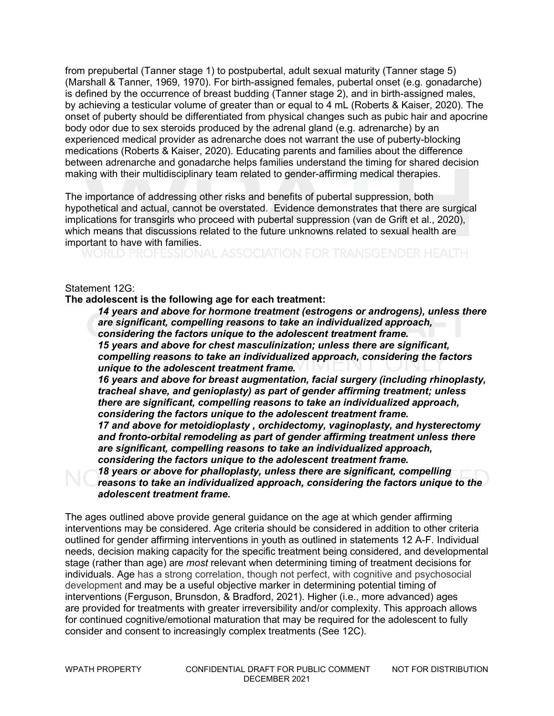from prepubertal (Tanner stage 1) to postpubertal, adult sexual maturity (Tanner stage 5) (Marshall & Tanner, 1969, 1970). For birth-assigned females, pubertal onset (e.g. gonadarche) is defined by the occurrence of breast budding (Tanner stage 2), and in birth-assigned males, by achieving a testicular volume of greater than or equal to 4 mL (Roberts & Kaiser, 2020). The onset of puberty should be differentiated from physical changes such as pubic hair and apocrine body odor due to sex steroids produced by the adrenal gland (e.g. adrenarche) by an experienced medical provider as adrenarche does not warrant the use of puberty-blocking medications (Roberts & Kaiser, 2020). Educating parents and families about the difference between adrenarche and gonadarche helps families understand the timing for shared decision making with their multidisciplinary team related to gender-affirming medical therapies.

The importance of addressing other risks and benefits of pubertal suppression, both hypothetical and actual, cannot be overstated. Evidence demonstrates that there are surgical implications for transgirls who proceed with pubertal suppression (van de Grift et al., 2020), which means that discussions related to the future unknowns related to sexual health are important to have with families.<br>WORLD PROFESSIONAL ASSOCIATION FOR TRANSGENDER HEALTH

#### Statement 12G:

**The adolescent is the following age for each treatment:**

*14 years and above for hormone treatment (estrogens or androgens), unless there are significant, compelling reasons to take an individualized approach, considering the factors unique to the adolescent treatment frame. 15 years and above for chest masculinization; unless there are significant, compelling reasons to take an individualized approach, considering the factors unique to the adolescent treatment frame.*

*16 years and above for breast augmentation, facial surgery (including rhinoplasty, tracheal shave, and genioplasty) as part of gender affirming treatment; unless there are significant, compelling reasons to take an individualized approach, considering the factors unique to the adolescent treatment frame.*

*17 and above for metoidioplasty , orchidectomy, vaginoplasty, and hysterectomy and fronto-orbital remodeling as part of gender affirming treatment unless there are significant, compelling reasons to take an individualized approach, considering the factors unique to the adolescent treatment frame.*

*18 years or above for phalloplasty, unless there are significant, compelling reasons to take an individualized approach, considering the factors unique to the adolescent treatment frame.*

The ages outlined above provide general guidance on the age at which gender affirming interventions may be considered. Age criteria should be considered in addition to other criteria outlined for gender affirming interventions in youth as outlined in statements 12 A-F. Individual needs, decision making capacity for the specific treatment being considered, and developmental stage (rather than age) are *most* relevant when determining timing of treatment decisions for individuals. Age has a strong correlation, though not perfect, with cognitive and psychosocial development and may be a useful objective marker in determining potential timing of interventions (Ferguson, Brunsdon, & Bradford, 2021). Higher (i.e., more advanced) ages are provided for treatments with greater irreversibility and/or complexity. This approach allows for continued cognitive/emotional maturation that may be required for the adolescent to fully consider and consent to increasingly complex treatments (See 12C).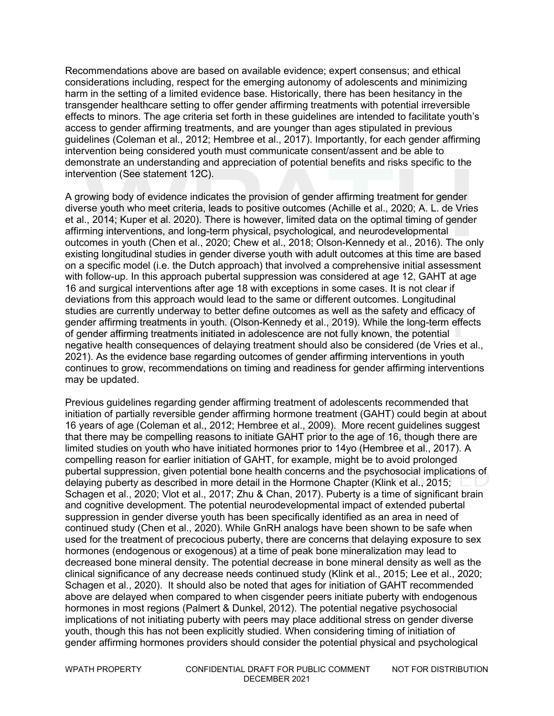Recommendations above are based on available evidence; expert consensus; and ethical considerations including, respect for the emerging autonomy of adolescents and minimizing harm in the setting of a limited evidence base. Historically, there has been hesitancy in the transgender healthcare setting to offer gender affirming treatments with potential irreversible effects to minors. The age criteria set forth in these guidelines are intended to facilitate youth's access to gender affirming treatments, and are younger than ages stipulated in previous guidelines (Coleman et al., 2012; Hembree et al., 2017). Importantly, for each gender affirming intervention being considered youth must communicate consent/assent and be able to demonstrate an understanding and appreciation of potential benefits and risks specific to the intervention (See statement 12C).

A growing body of evidence indicates the provision of gender affirming treatment for gender diverse youth who meet criteria, leads to positive outcomes (Achille et al., 2020; A. L. de Vries et al., 2014; Kuper et al. 2020). There is however, limited data on the optimal timing of gender affirming interventions, and long-term physical, psychological, and neurodevelopmental outcomes in youth (Chen et al., 2020; Chew et al., 2018; Olson-Kennedy et al., 2016). The only existing longitudinal studies in gender diverse youth with adult outcomes at this time are based on a specific model (i.e. the Dutch approach) that involved a comprehensive initial assessment with follow-up. In this approach pubertal suppression was considered at age 12, GAHT at age 16 and surgical interventions after age 18 with exceptions in some cases. It is not clear if deviations from this approach would lead to the same or different outcomes. Longitudinal studies are currently underway to better define outcomes as well as the safety and efficacy of gender affirming treatments in youth. (Olson-Kennedy et al., 2019). While the long-term effects of gender affirming treatments initiated in adolescence are not fully known, the potential negative health consequences of delaying treatment should also be considered (de Vries et al., 2021). As the evidence base regarding outcomes of gender affirming interventions in youth continues to grow, recommendations on timing and readiness for gender affirming interventions may be updated.

Previous guidelines regarding gender affirming treatment of adolescents recommended that initiation of partially reversible gender affirming hormone treatment (GAHT) could begin at about 16 years of age (Coleman et al., 2012; Hembree et al., 2009). More recent guidelines suggest that there may be compelling reasons to initiate GAHT prior to the age of 16, though there are limited studies on youth who have initiated hormones prior to 14yo (Hembree et al., 2017). A compelling reason for earlier initiation of GAHT, for example, might be to avoid prolonged pubertal suppression, given potential bone health concerns and the psychosocial implications of delaying puberty as described in more detail in the Hormone Chapter (Klink et al., 2015; Schagen et al., 2020; Vlot et al., 2017; Zhu & Chan, 2017). Puberty is a time of significant brain and cognitive development. The potential neurodevelopmental impact of extended pubertal suppression in gender diverse youth has been specifically identified as an area in need of continued study (Chen et al., 2020). While GnRH analogs have been shown to be safe when used for the treatment of precocious puberty, there are concerns that delaying exposure to sex hormones (endogenous or exogenous) at a time of peak bone mineralization may lead to decreased bone mineral density. The potential decrease in bone mineral density as well as the clinical significance of any decrease needs continued study (Klink et al., 2015; Lee et al., 2020; Schagen et al., 2020). It should also be noted that ages for initiation of GAHT recommended above are delayed when compared to when cisgender peers initiate puberty with endogenous hormones in most regions (Palmert & Dunkel, 2012). The potential negative psychosocial implications of not initiating puberty with peers may place additional stress on gender diverse youth, though this has not been explicitly studied. When considering timing of initiation of gender affirming hormones providers should consider the potential physical and psychological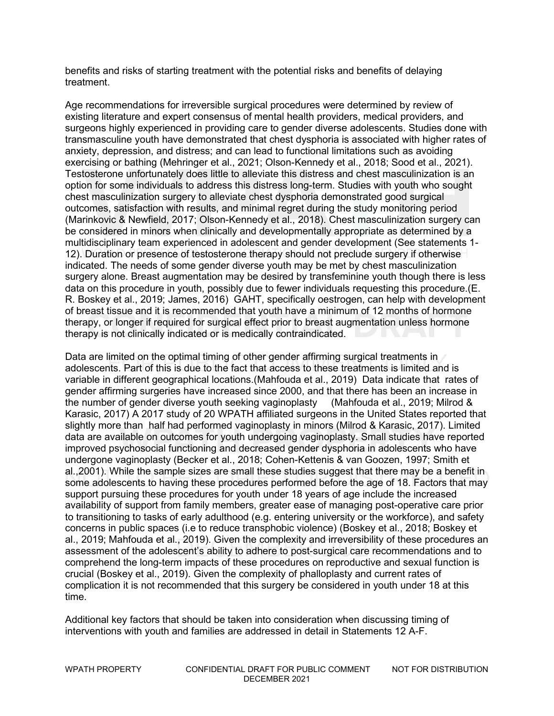benefits and risks of starting treatment with the potential risks and benefits of delaying treatment.

Age recommendations for irreversible surgical procedures were determined by review of existing literature and expert consensus of mental health providers, medical providers, and surgeons highly experienced in providing care to gender diverse adolescents. Studies done with transmasculine youth have demonstrated that chest dysphoria is associated with higher rates of anxiety, depression, and distress; and can lead to functional limitations such as avoiding exercising or bathing (Mehringer et al., 2021; Olson-Kennedy et al., 2018; Sood et al., 2021). Testosterone unfortunately does little to alleviate this distress and chest masculinization is an option for some individuals to address this distress long-term. Studies with youth who sought chest masculinization surgery to alleviate chest dysphoria demonstrated good surgical outcomes, satisfaction with results, and minimal regret during the study monitoring period (Marinkovic & Newfield, 2017; Olson-Kennedy et al., 2018). Chest masculinization surgery can be considered in minors when clinically and developmentally appropriate as determined by a multidisciplinary team experienced in adolescent and gender development (See statements 1- 12). Duration or presence of testosterone therapy should not preclude surgery if otherwise indicated. The needs of some gender diverse youth may be met by chest masculinization surgery alone. Breast augmentation may be desired by transfeminine youth though there is less data on this procedure in youth, possibly due to fewer individuals requesting this procedure.(E. R. Boskey et al., 2019; James, 2016) GAHT, specifically oestrogen, can help with development of breast tissue and it is recommended that youth have a minimum of 12 months of hormone therapy, or longer if required for surgical effect prior to breast augmentation unless hormone therapy is not clinically indicated or is medically contraindicated.

Data are limited on the optimal timing of other gender affirming surgical treatments in adolescents. Part of this is due to the fact that access to these treatments is limited and is variable in different geographical locations.(Mahfouda et al., 2019) Data indicate that rates of gender affirming surgeries have increased since 2000, and that there has been an increase in the number of gender diverse youth seeking vaginoplasty (Mahfouda et al., 2019; Milrod & Karasic, 2017) A 2017 study of 20 WPATH affiliated surgeons in the United States reported that slightly more than half had performed vaginoplasty in minors (Milrod & Karasic, 2017). Limited data are available on outcomes for youth undergoing vaginoplasty. Small studies have reported improved psychosocial functioning and decreased gender dysphoria in adolescents who have undergone vaginoplasty (Becker et al., 2018; Cohen-Kettenis & van Goozen, 1997; Smith et al.,2001). While the sample sizes are small these studies suggest that there may be a benefit in some adolescents to having these procedures performed before the age of 18. Factors that may support pursuing these procedures for youth under 18 years of age include the increased availability of support from family members, greater ease of managing post-operative care prior to transitioning to tasks of early adulthood (e.g. entering university or the workforce), and safety concerns in public spaces (i.e to reduce transphobic violence) (Boskey et al., 2018; Boskey et al., 2019; Mahfouda et al., 2019). Given the complexity and irreversibility of these procedures an assessment of the adolescent's ability to adhere to post-surgical care recommendations and to comprehend the long-term impacts of these procedures on reproductive and sexual function is crucial (Boskey et al., 2019). Given the complexity of phalloplasty and current rates of complication it is not recommended that this surgery be considered in youth under 18 at this time.

Additional key factors that should be taken into consideration when discussing timing of interventions with youth and families are addressed in detail in Statements 12 A-F.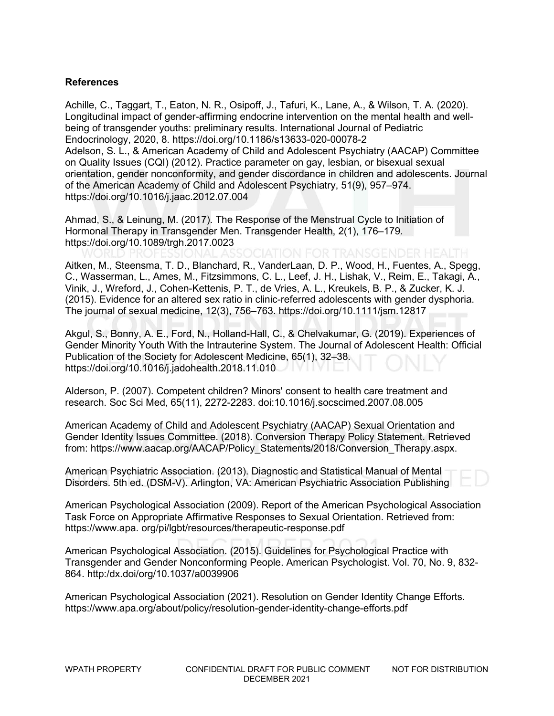#### **References**

Achille, C., Taggart, T., Eaton, N. R., Osipoff, J., Tafuri, K., Lane, A., & Wilson, T. A. (2020). Longitudinal impact of gender-affirming endocrine intervention on the mental health and wellbeing of transgender youths: preliminary results. International Journal of Pediatric Endocrinology, 2020, 8. https://doi.org/10.1186/s13633-020-00078-2 Adelson, S. L., & American Academy of Child and Adolescent Psychiatry (AACAP) Committee on Quality Issues (CQI) (2012). Practice parameter on gay, lesbian, or bisexual sexual orientation, gender nonconformity, and gender discordance in children and adolescents. Journal of the American Academy of Child and Adolescent Psychiatry, 51(9), 957–974. https://doi.org/10.1016/j.jaac.2012.07.004

Ahmad, S., & Leinung, M. (2017). The Response of the Menstrual Cycle to Initiation of Hormonal Therapy in Transgender Men. Transgender Health, 2(1), 176–179. https://doi.org/10.1089/trgh.2017.0023

Aitken, M., Steensma, T. D., Blanchard, R., VanderLaan, D. P., Wood, H., Fuentes, A., Spegg, C., Wasserman, L., Ames, M., Fitzsimmons, C. L., Leef, J. H., Lishak, V., Reim, E., Takagi, A., Vinik, J., Wreford, J., Cohen-Kettenis, P. T., de Vries, A. L., Kreukels, B. P., & Zucker, K. J. (2015). Evidence for an altered sex ratio in clinic-referred adolescents with gender dysphoria. The journal of sexual medicine, 12(3), 756–763. https://doi.org/10.1111/jsm.12817

Akgul, S., Bonny, A. E., Ford, N., Holland-Hall, C., & Chelvakumar, G. (2019). Experiences of Gender Minority Youth With the Intrauterine System. The Journal of Adolescent Health: Official Publication of the Society for Adolescent Medicine, 65(1), 32–38. https://doi.org/10.1016/j.jadohealth.2018.11.010

Alderson, P. (2007). Competent children? Minors' consent to health care treatment and research. Soc Sci Med, 65(11), 2272-2283. doi:10.1016/j.socscimed.2007.08.005

American Academy of Child and Adolescent Psychiatry (AACAP) Sexual Orientation and Gender Identity Issues Committee. (2018). Conversion Therapy Policy Statement. Retrieved from: https://www.aacap.org/AACAP/Policy\_Statements/2018/Conversion\_Therapy.aspx.

American Psychiatric Association. (2013). Diagnostic and Statistical Manual of Mental Disorders. 5th ed. (DSM-V). Arlington, VA: American Psychiatric Association Publishing

American Psychological Association (2009). Report of the American Psychological Association Task Force on Appropriate Affirmative Responses to Sexual Orientation. Retrieved from: https://www.apa. org/pi/lgbt/resources/therapeutic-response.pdf

American Psychological Association. (2015). Guidelines for Psychological Practice with Transgender and Gender Nonconforming People. American Psychologist. Vol. 70, No. 9, 832- 864. http:/dx.doi/org/10.1037/a0039906

American Psychological Association (2021). Resolution on Gender Identity Change Efforts. https://www.apa.org/about/policy/resolution-gender-identity-change-efforts.pdf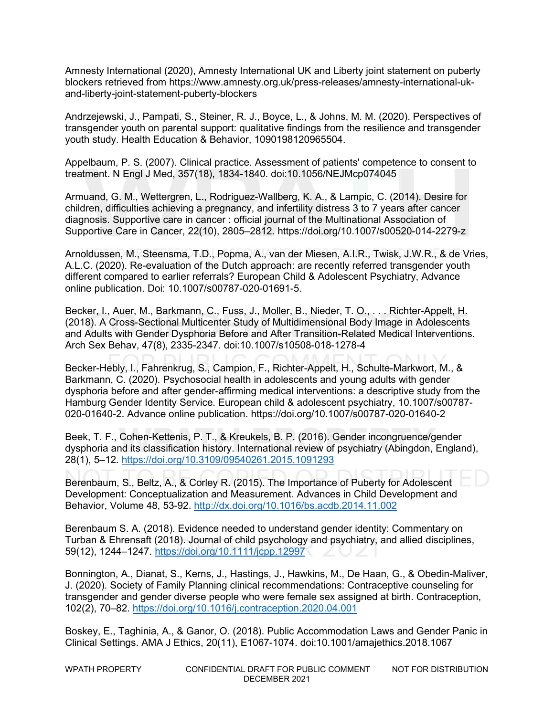Amnesty International (2020), Amnesty International UK and Liberty joint statement on puberty blockers retrieved from https://www.amnesty.org.uk/press-releases/amnesty-international-ukand-liberty-joint-statement-puberty-blockers

Andrzejewski, J., Pampati, S., Steiner, R. J., Boyce, L., & Johns, M. M. (2020). Perspectives of transgender youth on parental support: qualitative findings from the resilience and transgender youth study. Health Education & Behavior, 1090198120965504.

Appelbaum, P. S. (2007). Clinical practice. Assessment of patients' competence to consent to treatment. N Engl J Med, 357(18), 1834-1840. doi:10.1056/NEJMcp074045

Armuand, G. M., Wettergren, L., Rodriguez-Wallberg, K. A., & Lampic, C. (2014). Desire for children, difficulties achieving a pregnancy, and infertility distress 3 to 7 years after cancer diagnosis. Supportive care in cancer : official journal of the Multinational Association of Supportive Care in Cancer, 22(10), 2805–2812. https://doi.org/10.1007/s00520-014-2279-z

Arnoldussen, M., Steensma, T.D., Popma, A., van der Miesen, A.I.R., Twisk, J.W.R., & de Vries, A.L.C. (2020). Re-evaluation of the Dutch approach: are recently referred transgender youth different compared to earlier referrals? European Child & Adolescent Psychiatry, Advance online publication. Doi: 10.1007/s00787-020-01691-5.

Becker, I., Auer, M., Barkmann, C., Fuss, J., Moller, B., Nieder, T. O., . . . Richter-Appelt, H. (2018). A Cross-Sectional Multicenter Study of Multidimensional Body Image in Adolescents and Adults with Gender Dysphoria Before and After Transition-Related Medical Interventions. Arch Sex Behav, 47(8), 2335-2347. doi:10.1007/s10508-018-1278-4

Becker-Hebly, I., Fahrenkrug, S., Campion, F., Richter-Appelt, H., Schulte-Markwort, M., & Barkmann, C. (2020). Psychosocial health in adolescents and young adults with gender dysphoria before and after gender-affirming medical interventions: a descriptive study from the Hamburg Gender Identity Service. European child & adolescent psychiatry, 10.1007/s00787- 020-01640-2. Advance online publication. https://doi.org/10.1007/s00787-020-01640-2

Beek, T. F., Cohen-Kettenis, P. T., & Kreukels, B. P. (2016). Gender incongruence/gender dysphoria and its classification history. International review of psychiatry (Abingdon, England), 28(1), 5–12.<https://doi.org/10.3109/09540261.2015.1091293>

Berenbaum, S., Beltz, A., & Corley R. (2015). The Importance of Puberty for Adolescent Development: Conceptualization and Measurement. Advances in Child Development and Behavior, Volume 48, 53-92.<http://dx.doi.org/10.1016/bs.acdb.2014.11.002>

Berenbaum S. A. (2018). Evidence needed to understand gender identity: Commentary on Turban & Ehrensaft (2018). Journal of child psychology and psychiatry, and allied disciplines, 59(12), 1244–1247.<https://doi.org/10.1111/jcpp.12997>

Bonnington, A., Dianat, S., Kerns, J., Hastings, J., Hawkins, M., De Haan, G., & Obedin-Maliver, J. (2020). Society of Family Planning clinical recommendations: Contraceptive counseling for transgender and gender diverse people who were female sex assigned at birth. Contraception, 102(2), 70–82.<https://doi.org/10.1016/j.contraception.2020.04.001>

Boskey, E., Taghinia, A., & Ganor, O. (2018). Public Accommodation Laws and Gender Panic in Clinical Settings. AMA J Ethics, 20(11), E1067-1074. doi:10.1001/amajethics.2018.1067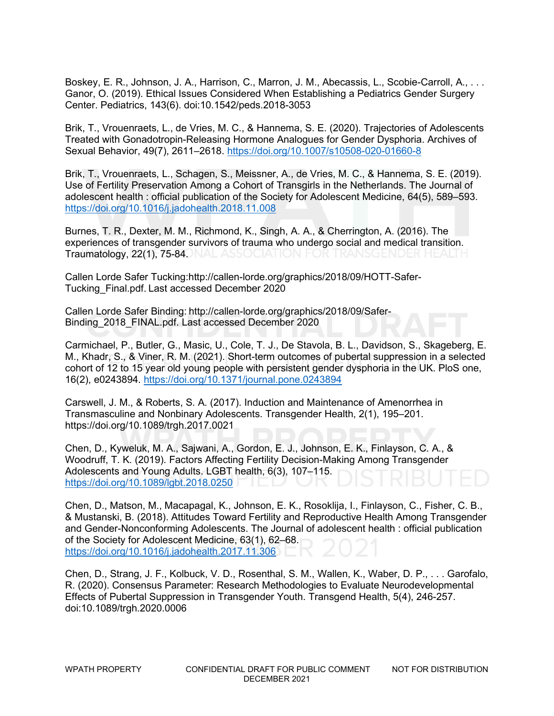Boskey, E. R., Johnson, J. A., Harrison, C., Marron, J. M., Abecassis, L., Scobie-Carroll, A., . . . Ganor, O. (2019). Ethical Issues Considered When Establishing a Pediatrics Gender Surgery Center. Pediatrics, 143(6). doi:10.1542/peds.2018-3053

Brik, T., Vrouenraets, L., de Vries, M. C., & Hannema, S. E. (2020). Trajectories of Adolescents Treated with Gonadotropin-Releasing Hormone Analogues for Gender Dysphoria. Archives of Sexual Behavior, 49(7), 2611–2618.<https://doi.org/10.1007/s10508-020-01660-8>

Brik, T., Vrouenraets, L., Schagen, S., Meissner, A., de Vries, M. C., & Hannema, S. E. (2019). Use of Fertility Preservation Among a Cohort of Transgirls in the Netherlands. The Journal of adolescent health : official publication of the Society for Adolescent Medicine, 64(5), 589–593. <https://doi.org/10.1016/j.jadohealth.2018.11.008>

Burnes, T. R., Dexter, M. M., Richmond, K., Singh, A. A., & Cherrington, A. (2016). The experiences of transgender survivors of trauma who undergo social and medical transition. Traumatology, 22(1), 75-84. NAL ASSOCIATION FOR TRANSGENDER HEALTH

Callen Lorde Safer Tucking:http://callen-lorde.org/graphics/2018/09/HOTT-Safer-Tucking\_Final.pdf. Last accessed December 2020 

Callen Lorde Safer Binding: http://callen-lorde.org/graphics/2018/09/Safer-Binding\_2018\_FINAL.pdf. Last accessed December 2020 

Carmichael, P., Butler, G., Masic, U., Cole, T. J., De Stavola, B. L., Davidson, S., Skageberg, E. M., Khadr, S., & Viner, R. M. (2021). Short-term outcomes of pubertal suppression in a selected cohort of 12 to 15 year old young people with persistent gender dysphoria in the UK. PloS one, 16(2), e0243894.<https://doi.org/10.1371/journal.pone.0243894>

Carswell, J. M., & Roberts, S. A. (2017). Induction and Maintenance of Amenorrhea in Transmasculine and Nonbinary Adolescents. Transgender Health, 2(1), 195–201. https://doi.org/10.1089/trgh.2017.0021

Chen, D., Kyweluk, M. A., Sajwani, A., Gordon, E. J., Johnson, E. K., Finlayson, C. A., & Woodruff, T. K. (2019). Factors Affecting Fertility Decision-Making Among Transgender Adolescents and Young Adults. LGBT health, 6(3), 107–115. <https://doi.org/10.1089/lgbt.2018.0250>

Chen, D., Matson, M., Macapagal, K., Johnson, E. K., Rosoklija, I., Finlayson, C., Fisher, C. B., & Mustanski, B. (2018). Attitudes Toward Fertility and Reproductive Health Among Transgender and Gender-Nonconforming Adolescents. The Journal of adolescent health : official publication of the Society for Adolescent Medicine, 63(1), 62–68. <https://doi.org/10.1016/j.jadohealth.2017.11.306>

Chen, D., Strang, J. F., Kolbuck, V. D., Rosenthal, S. M., Wallen, K., Waber, D. P., . . . Garofalo, R. (2020). Consensus Parameter: Research Methodologies to Evaluate Neurodevelopmental Effects of Pubertal Suppression in Transgender Youth. Transgend Health, 5(4), 246-257. doi:10.1089/trgh.2020.0006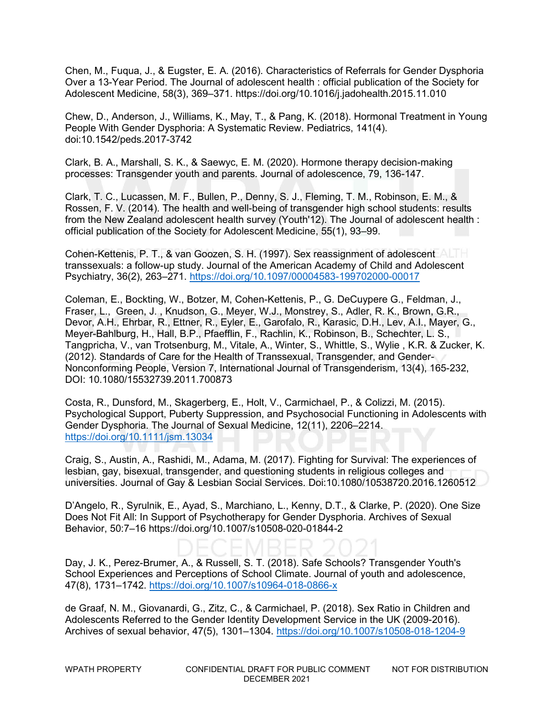Chen, M., Fuqua, J., & Eugster, E. A. (2016). Characteristics of Referrals for Gender Dysphoria Over a 13-Year Period. The Journal of adolescent health : official publication of the Society for Adolescent Medicine, 58(3), 369–371. https://doi.org/10.1016/j.jadohealth.2015.11.010

Chew, D., Anderson, J., Williams, K., May, T., & Pang, K. (2018). Hormonal Treatment in Young People With Gender Dysphoria: A Systematic Review. Pediatrics, 141(4). doi:10.1542/peds.2017-3742

Clark, B. A., Marshall, S. K., & Saewyc, E. M. (2020). Hormone therapy decision-making processes: Transgender youth and parents. Journal of adolescence, 79, 136-147.

Clark, T. C., Lucassen, M. F., Bullen, P., Denny, S. J., Fleming, T. M., Robinson, E. M., & Rossen, F. V. (2014). The health and well-being of transgender high school students: results from the New Zealand adolescent health survey (Youth'12). The Journal of adolescent health : official publication of the Society for Adolescent Medicine, 55(1), 93–99.

Cohen-Kettenis, P. T., & van Goozen, S. H. (1997). Sex reassignment of adolescent transsexuals: a follow-up study. Journal of the American Academy of Child and Adolescent Psychiatry, 36(2), 263–271.<https://doi.org/10.1097/00004583-199702000-00017>

Coleman, E., Bockting, W., Botzer, M, Cohen-Kettenis, P., G. DeCuypere G., Feldman, J., Fraser, L., Green, J. , Knudson, G., Meyer, W.J., Monstrey, S., Adler, R. K., Brown, G.R., Devor, A.H., Ehrbar, R., Ettner, R., Eyler, E., Garofalo, R., Karasic, D.H., Lev, A.I., Mayer, G., Meyer-Bahlburg, H., Hall, B.P., Pfaefflin, F., Rachlin, K., Robinson, B., Schechter, L. S., Tangpricha, V., van Trotsenburg, M., Vitale, A., Winter, S., Whittle, S., Wylie , K.R. & Zucker, K. (2012). Standards of Care for the Health of Transsexual, Transgender, and Gender-Nonconforming People, Version 7, International Journal of Transgenderism, 13(4), 165-232, DOI: 10.1080/15532739.2011.700873

Costa, R., Dunsford, M., Skagerberg, E., Holt, V., Carmichael, P., & Colizzi, M. (2015). Psychological Support, Puberty Suppression, and Psychosocial Functioning in Adolescents with Gender Dysphoria. The Journal of Sexual Medicine, 12(11), 2206–2214. <https://doi.org/10.1111/jsm.13034>

Craig, S., Austin, A., Rashidi, M., Adama, M. (2017). Fighting for Survival: The experiences of lesbian, gay, bisexual, transgender, and questioning students in religious colleges and universities. Journal of Gay & Lesbian Social Services. Doi:10.1080/10538720.2016.1260512

D'Angelo, R., Syrulnik, E., Ayad, S., Marchiano, L., Kenny, D.T., & Clarke, P. (2020). One Size Does Not Fit All: In Support of Psychotherapy for Gender Dysphoria. Archives of Sexual Behavior, 50:7–16 https://doi.org/10.1007/s10508-020-01844-2

Day, J. K., Perez-Brumer, A., & Russell, S. T. (2018). Safe Schools? Transgender Youth's School Experiences and Perceptions of School Climate. Journal of youth and adolescence, 47(8), 1731–1742.<https://doi.org/10.1007/s10964-018-0866-x>

de Graaf, N. M., Giovanardi, G., Zitz, C., & Carmichael, P. (2018). Sex Ratio in Children and Adolescents Referred to the Gender Identity Development Service in the UK (2009-2016). Archives of sexual behavior, 47(5), 1301–1304.<https://doi.org/10.1007/s10508-018-1204-9>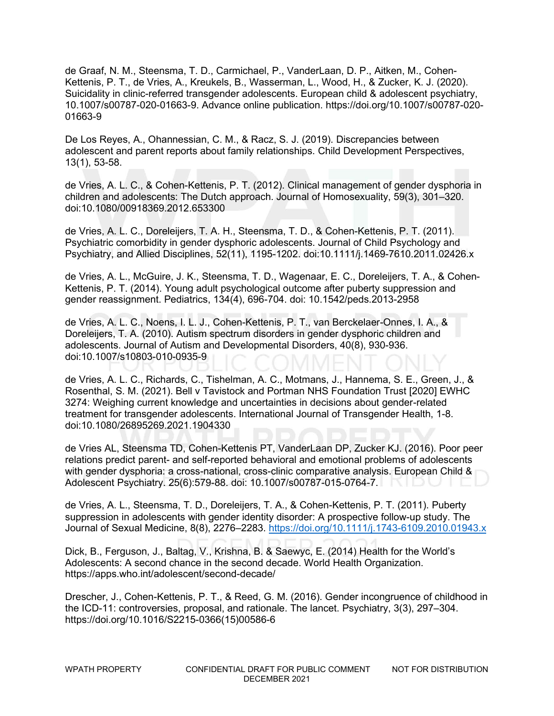de Graaf, N. M., Steensma, T. D., Carmichael, P., VanderLaan, D. P., Aitken, M., Cohen-Kettenis, P. T., de Vries, A., Kreukels, B., Wasserman, L., Wood, H., & Zucker, K. J. (2020). Suicidality in clinic-referred transgender adolescents. European child & adolescent psychiatry, 10.1007/s00787-020-01663-9. Advance online publication. https://doi.org/10.1007/s00787-020- 01663-9

De Los Reyes, A., Ohannessian, C. M., & Racz, S. J. (2019). Discrepancies between adolescent and parent reports about family relationships. Child Development Perspectives, 13(1), 53-58.

de Vries, A. L. C., & Cohen-Kettenis, P. T. (2012). Clinical management of gender dysphoria in children and adolescents: The Dutch approach. Journal of Homosexuality, 59(3), 301–320. doi:10.1080/00918369.2012.653300

de Vries, A. L. C., Doreleijers, T. A. H., Steensma, T. D., & Cohen-Kettenis, P. T. (2011). Psychiatric comorbidity in gender dysphoric adolescents. Journal of Child Psychology and Psychiatry, and Allied Disciplines, 52(11), 1195-1202. doi:10.1111/j.1469-7610.2011.02426.x

de Vries, A. L., McGuire, J. K., Steensma, T. D., Wagenaar, E. C., Doreleijers, T. A., & Cohen-Kettenis, P. T. (2014). Young adult psychological outcome after puberty suppression and gender reassignment. Pediatrics, 134(4), 696-704. doi: 10.1542/peds.2013-2958

de Vries, A. L. C., Noens, I. L. J., Cohen-Kettenis, P. T., van Berckelaer-Onnes, I. A., & Doreleijers, T. A. (2010). Autism spectrum disorders in gender dysphoric children and adolescents. Journal of Autism and Developmental Disorders, 40(8), 930-936. doi:10.1007/s10803-010-0935-9

de Vries, A. L. C., Richards, C., Tishelman, A. C., Motmans, J., Hannema, S. E., Green, J., & Rosenthal, S. M. (2021). Bell v Tavistock and Portman NHS Foundation Trust [2020] EWHC 3274: Weighing current knowledge and uncertainties in decisions about gender-related treatment for transgender adolescents. International Journal of Transgender Health, 1-8. doi:10.1080/26895269.2021.1904330

de Vries AL, Steensma TD, Cohen-Kettenis PT, VanderLaan DP, Zucker KJ. (2016). Poor peer relations predict parent- and self-reported behavioral and emotional problems of adolescents with gender dysphoria: a cross-national, cross-clinic comparative analysis. European Child & Adolescent Psychiatry. 25(6):579-88. doi: 10.1007/s00787-015-0764-7.

de Vries, A. L., Steensma, T. D., Doreleijers, T. A., & Cohen-Kettenis, P. T. (2011). Puberty suppression in adolescents with gender identity disorder: A prospective follow-up study. The Journal of Sexual Medicine, 8(8), 2276–2283.<https://doi.org/10.1111/j.1743-6109.2010.01943.x>

Dick, B., Ferguson, J., Baltag, V., Krishna, B. & Saewyc, E. (2014) Health for the World's Adolescents: A second chance in the second decade. World Health Organization. https://apps.who.int/adolescent/second-decade/

Drescher, J., Cohen-Kettenis, P. T., & Reed, G. M. (2016). Gender incongruence of childhood in the ICD-11: controversies, proposal, and rationale. The lancet. Psychiatry, 3(3), 297–304. https://doi.org/10.1016/S2215-0366(15)00586-6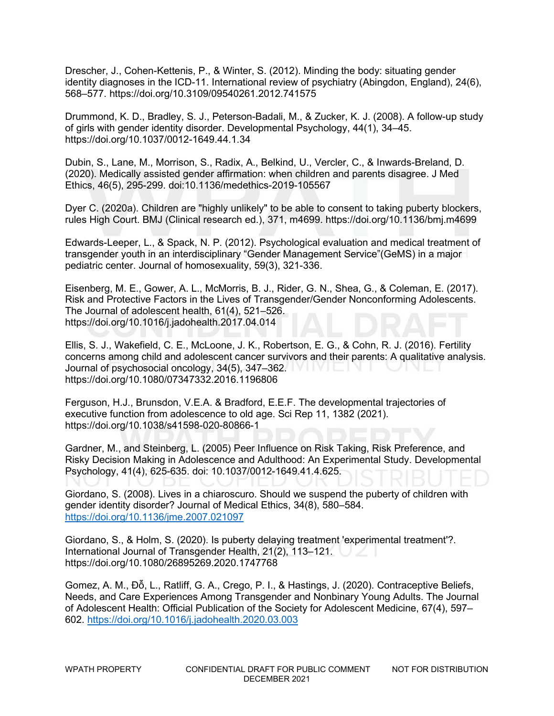Drescher, J., Cohen-Kettenis, P., & Winter, S. (2012). Minding the body: situating gender identity diagnoses in the ICD-11. International review of psychiatry (Abingdon, England), 24(6), 568–577. https://doi.org/10.3109/09540261.2012.741575

Drummond, K. D., Bradley, S. J., Peterson-Badali, M., & Zucker, K. J. (2008). A follow-up study of girls with gender identity disorder. Developmental Psychology, 44(1), 34–45. https://doi.org/10.1037/0012-1649.44.1.34

Dubin, S., Lane, M., Morrison, S., Radix, A., Belkind, U., Vercler, C., & Inwards-Breland, D. (2020). Medically assisted gender affirmation: when children and parents disagree. J Med Ethics, 46(5), 295-299. doi:10.1136/medethics-2019-105567

Dyer C. (2020a). Children are "highly unlikely" to be able to consent to taking puberty blockers, rules High Court. BMJ (Clinical research ed.), 371, m4699. https://doi.org/10.1136/bmj.m4699

Edwards-Leeper, L., & Spack, N. P. (2012). Psychological evaluation and medical treatment of transgender youth in an interdisciplinary "Gender Management Service"(GeMS) in a major pediatric center. Journal of homosexuality, 59(3), 321-336.

Eisenberg, M. E., Gower, A. L., McMorris, B. J., Rider, G. N., Shea, G., & Coleman, E. (2017). Risk and Protective Factors in the Lives of Transgender/Gender Nonconforming Adolescents. The Journal of adolescent health, 61(4), 521–526. https://doi.org/10.1016/j.jadohealth.2017.04.014

Ellis, S. J., Wakefield, C. E., McLoone, J. K., Robertson, E. G., & Cohn, R. J. (2016). Fertility concerns among child and adolescent cancer survivors and their parents: A qualitative analysis. Journal of psychosocial oncology, 34(5), 347–362. https://doi.org/10.1080/07347332.2016.1196806

Ferguson, H.J., Brunsdon, V.E.A. & Bradford, E.E.F. The developmental trajectories of executive function from adolescence to old age. Sci Rep 11, 1382 (2021). https://doi.org/10.1038/s41598-020-80866-1

Gardner, M., and Steinberg, L. (2005) Peer Influence on Risk Taking, Risk Preference, and Risky Decision Making in Adolescence and Adulthood: An Experimental Study. Developmental Psychology, 41(4), 625-635. doi: 10.1037/0012-1649.41.4.625.

Giordano, S. (2008). Lives in a chiaroscuro. Should we suspend the puberty of children with gender identity disorder? Journal of Medical Ethics, 34(8), 580–584. <https://doi.org/10.1136/jme.2007.021097>

Giordano, S., & Holm, S. (2020). Is puberty delaying treatment 'experimental treatment'?. International Journal of Transgender Health, 21(2), 113–121. https://doi.org/10.1080/26895269.2020.1747768

Gomez, A. M., Đỗ, L., Ratliff, G. A., Crego, P. I., & Hastings, J. (2020). Contraceptive Beliefs, Needs, and Care Experiences Among Transgender and Nonbinary Young Adults. The Journal of Adolescent Health: Official Publication of the Society for Adolescent Medicine, 67(4), 597– 602.<https://doi.org/10.1016/j.jadohealth.2020.03.003>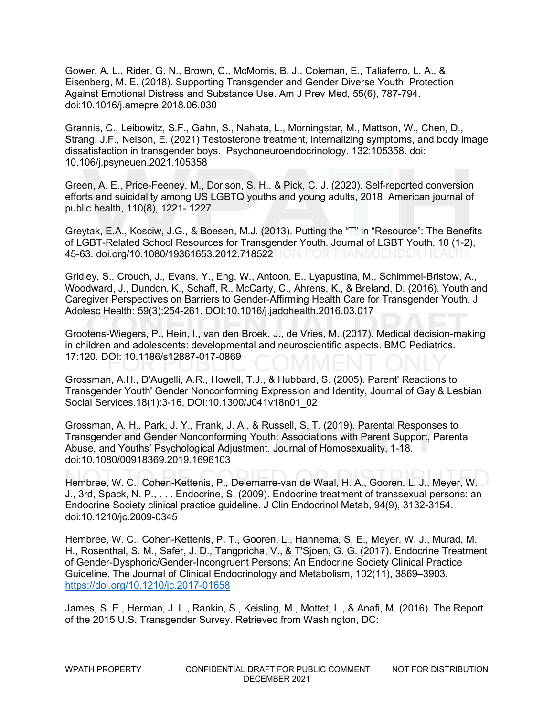Gower, A. L., Rider, G. N., Brown, C., McMorris, B. J., Coleman, E., Taliaferro, L. A., & Eisenberg, M. E. (2018). Supporting Transgender and Gender Diverse Youth: Protection Against Emotional Distress and Substance Use. Am J Prev Med, 55(6), 787-794. doi:10.1016/j.amepre.2018.06.030

Grannis, C., Leibowitz, S.F., Gahn, S., Nahata, L., Morningstar, M., Mattson, W., Chen, D., Strang, J.F., Nelson, E. (2021) Testosterone treatment, internalizing symptoms, and body image dissatisfaction in transgender boys. Psychoneuroendocrinology. 132:105358. doi: 10.106/j.psyneuen.2021.105358

Green, A. E., Price-Feeney, M., Dorison, S. H., & Pick, C. J. (2020). Self-reported conversion efforts and suicidality among US LGBTQ youths and young adults, 2018. American journal of public health, 110(8), 1221- 1227.

Greytak, E.A., Kosciw, J.G., & Boesen, M.J. (2013). Putting the "T" in "Resource": The Benefits of LGBT-Related School Resources for Transgender Youth. Journal of LGBT Youth. 10 (1-2), 45-63. doi.org/10.1080/19361653.2012.718522 ON FOR TRANSGENDER HEALTH

Gridley, S., Crouch, J., Evans, Y., Eng, W., Antoon, E., Lyapustina, M., Schimmel-Bristow, A., Woodward, J., Dundon, K., Schaff, R., McCarty, C., Ahrens, K., & Breland, D. (2016). Youth and Caregiver Perspectives on Barriers to Gender-Affirming Health Care for Transgender Youth. J Adolesc Health: 59(3):254-261. DOI:10.1016/j.jadohealth.2016.03.017

Grootens-Wiegers, P., Hein, I., van den Broek, J., de Vries, M. (2017). Medical decision-making in children and adolescents: developmental and neuroscientific aspects. BMC Pediatrics. 17:120. DOI: 10.1186/s12887-017-0869

Grossman, A.H., D'Augelli, A.R., Howell, T.J., & Hubbard, S. (2005). Parent' Reactions to Transgender Youth' Gender Nonconforming Expression and Identity, Journal of Gay & Lesbian Social Services.18(1):3-16, DOI:10.1300/J041v18n01\_02

Grossman, A. H., Park, J. Y., Frank, J. A., & Russell, S. T. (2019). Parental Responses to Transgender and Gender Nonconforming Youth: Associations with Parent Support, Parental Abuse, and Youths' Psychological Adjustment. Journal of Homosexuality, 1-18. doi:10.1080/00918369.2019.1696103

Hembree, W. C., Cohen-Kettenis, P., Delemarre-van de Waal, H. A., Gooren, L. J., Meyer, W. J., 3rd, Spack, N. P., . . . Endocrine, S. (2009). Endocrine treatment of transsexual persons: an Endocrine Society clinical practice guideline. J Clin Endocrinol Metab, 94(9), 3132-3154. doi:10.1210/jc.2009-0345

Hembree, W. C., Cohen-Kettenis, P. T., Gooren, L., Hannema, S. E., Meyer, W. J., Murad, M. H., Rosenthal, S. M., Safer, J. D., Tangpricha, V., & T'Sjoen, G. G. (2017). Endocrine Treatment of Gender-Dysphoric/Gender-Incongruent Persons: An Endocrine Society Clinical Practice Guideline. The Journal of Clinical Endocrinology and Metabolism, 102(11), 3869–3903. <https://doi.org/10.1210/jc.2017-01658>

James, S. E., Herman, J. L., Rankin, S., Keisling, M., Mottet, L., & Anafi, M. (2016). The Report of the 2015 U.S. Transgender Survey. Retrieved from Washington, DC: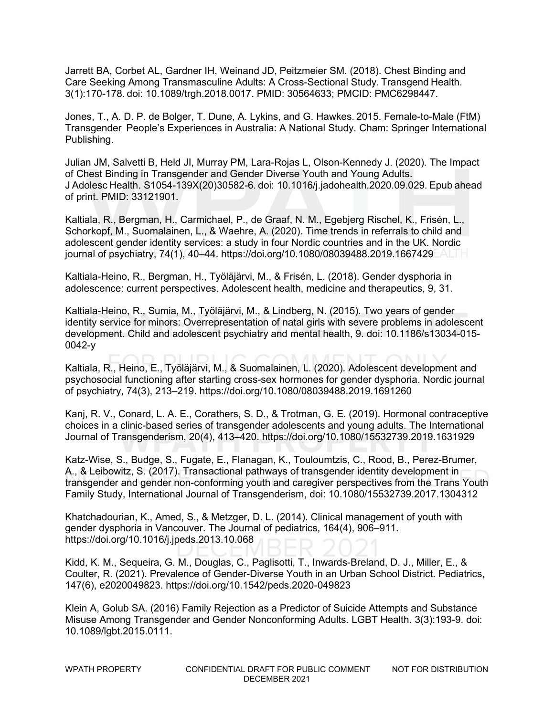Jarrett BA, Corbet AL, Gardner IH, Weinand JD, Peitzmeier SM. (2018). Chest Binding and Care Seeking Among Transmasculine Adults: A Cross-Sectional Study. Transgend Health. 3(1):170-178. doi: 10.1089/trgh.2018.0017. PMID: 30564633; PMCID: PMC6298447. 

Jones, T., A. D. P. de Bolger, T. Dune, A. Lykins, and G. Hawkes. 2015. Female-to-Male (FtM) Transgender  People's Experiences in Australia: A National Study. Cham: Springer International Publishing. 

Julian JM, Salvetti B, Held JI, Murray PM, Lara-Rojas L, Olson-Kennedy J. (2020). The Impact of Chest Binding in Transgender and Gender Diverse Youth and Young Adults. J Adolesc Health. S1054-139X(20)30582-6. doi: 10.1016/j.jadohealth.2020.09.029. Epub ahead of print. PMID: 33121901. 

Kaltiala, R., Bergman, H., Carmichael, P., de Graaf, N. M., Egebjerg Rischel, K., Frisén, L., Schorkopf, M., Suomalainen, L., & Waehre, A. (2020). Time trends in referrals to child and adolescent gender identity services: a study in four Nordic countries and in the UK. Nordic journal of psychiatry, 74(1), 40–44. https://doi.org/10.1080/08039488.2019.1667429

Kaltiala-Heino, R., Bergman, H., Työläjärvi, M., & Frisén, L. (2018). Gender dysphoria in adolescence: current perspectives. Adolescent health, medicine and therapeutics, 9, 31.

Kaltiala-Heino, R., Sumia, M., Työläjärvi, M., & Lindberg, N. (2015). Two years of gender identity service for minors: Overrepresentation of natal girls with severe problems in adolescent development. Child and adolescent psychiatry and mental health, 9. doi: 10.1186/s13034-015- 0042-y

Kaltiala, R., Heino, E., Työläjärvi, M., & Suomalainen, L. (2020). Adolescent development and psychosocial functioning after starting cross-sex hormones for gender dysphoria. Nordic journal of psychiatry, 74(3), 213–219. https://doi.org/10.1080/08039488.2019.1691260

Kanj, R. V., Conard, L. A. E., Corathers, S. D., & Trotman, G. E. (2019). Hormonal contraceptive choices in a clinic-based series of transgender adolescents and young adults. The International Journal of Transgenderism, 20(4), 413–420. https://doi.org/10.1080/15532739.2019.1631929

Katz-Wise, S., Budge, S., Fugate, E., Flanagan, K., Touloumtzis, C., Rood, B., Perez-Brumer, A., & Leibowitz, S. (2017). Transactional pathways of transgender identity development in transgender and gender non-conforming youth and caregiver perspectives from the Trans Youth Family Study, International Journal of Transgenderism, doi: 10.1080/15532739.2017.1304312

Khatchadourian, K., Amed, S., & Metzger, D. L. (2014). Clinical management of youth with gender dysphoria in Vancouver. The Journal of pediatrics, 164(4), 906–911. https://doi.org/10.1016/j.jpeds.2013.10.068

Kidd, K. M., Sequeira, G. M., Douglas, C., Paglisotti, T., Inwards-Breland, D. J., Miller, E., & Coulter, R. (2021). Prevalence of Gender-Diverse Youth in an Urban School District. Pediatrics, 147(6), e2020049823. https://doi.org/10.1542/peds.2020-049823

Klein A, Golub SA. (2016) Family Rejection as a Predictor of Suicide Attempts and Substance Misuse Among Transgender and Gender Nonconforming Adults. LGBT Health. 3(3):193-9. doi: 10.1089/lgbt.2015.0111.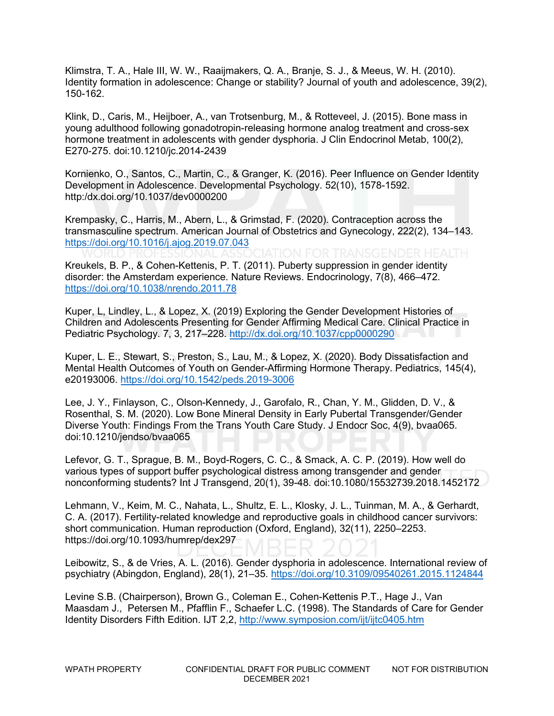Klimstra, T. A., Hale III, W. W., Raaijmakers, Q. A., Branje, S. J., & Meeus, W. H. (2010). Identity formation in adolescence: Change or stability? Journal of youth and adolescence, 39(2), 150-162.

Klink, D., Caris, M., Heijboer, A., van Trotsenburg, M., & Rotteveel, J. (2015). Bone mass in young adulthood following gonadotropin-releasing hormone analog treatment and cross-sex hormone treatment in adolescents with gender dysphoria. J Clin Endocrinol Metab, 100(2), E270-275. doi:10.1210/jc.2014-2439

Kornienko, O., Santos, C., Martin, C., & Granger, K. (2016). Peer Influence on Gender Identity Development in Adolescence. Developmental Psychology. 52(10), 1578-1592. http:/dx.doi.org/10.1037/dev0000200

Krempasky, C., Harris, M., Abern, L., & Grimstad, F. (2020). Contraception across the transmasculine spectrum. American Journal of Obstetrics and Gynecology, 222(2), 134–143. <https://doi.org/10.1016/j.ajog.2019.07.043>

Kreukels, B. P., & Cohen-Kettenis, P. T. (2011). Puberty suppression in gender identity disorder: the Amsterdam experience. Nature Reviews. Endocrinology, 7(8), 466–472. <https://doi.org/10.1038/nrendo.2011.78>

Kuper, L, Lindley, L., & Lopez, X. (2019) Exploring the Gender Development Histories of Children and Adolescents Presenting for Gender Affirming Medical Care. Clinical Practice in Pediatric Psychology. 7, 3, 217–228.<http://dx.doi.org/10.1037/cpp0000290>

Kuper, L. E., Stewart, S., Preston, S., Lau, M., & Lopez, X. (2020). Body Dissatisfaction and Mental Health Outcomes of Youth on Gender-Affirming Hormone Therapy. Pediatrics, 145(4), e20193006.<https://doi.org/10.1542/peds.2019-3006>

Lee, J. Y., Finlayson, C., Olson-Kennedy, J., Garofalo, R., Chan, Y. M., Glidden, D. V., & Rosenthal, S. M. (2020). Low Bone Mineral Density in Early Pubertal Transgender/Gender Diverse Youth: Findings From the Trans Youth Care Study. J Endocr Soc, 4(9), bvaa065. doi:10.1210/jendso/bvaa065

Lefevor, G. T., Sprague, B. M., Boyd-Rogers, C. C., & Smack, A. C. P. (2019). How well do various types of support buffer psychological distress among transgender and gender nonconforming students? Int J Transgend, 20(1), 39-48. doi:10.1080/15532739.2018.1452172

Lehmann, V., Keim, M. C., Nahata, L., Shultz, E. L., Klosky, J. L., Tuinman, M. A., & Gerhardt, C. A. (2017). Fertility-related knowledge and reproductive goals in childhood cancer survivors: short communication. Human reproduction (Oxford, England), 32(11), 2250–2253. https://doi.org/10.1093/humrep/dex297

Leibowitz, S., & de Vries, A. L. (2016). Gender dysphoria in adolescence. International review of psychiatry (Abingdon, England), 28(1), 21–35.<https://doi.org/10.3109/09540261.2015.1124844>

Levine S.B. (Chairperson), Brown G., Coleman E., Cohen-Kettenis P.T., Hage J., Van Maasdam J., Petersen M., Pfafflin F., Schaefer L.C. (1998). The Standards of Care for Gender Identity Disorders Fifth Edition. IJT 2,2,<http://www.symposion.com/ijt/ijtc0405.htm>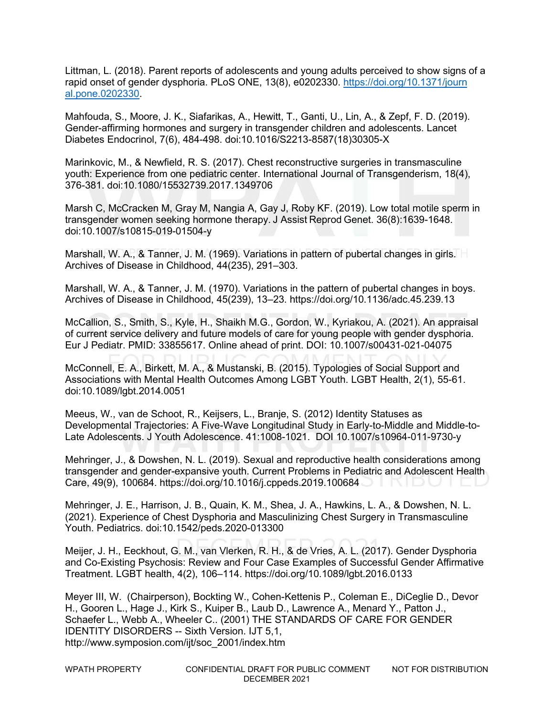Littman, L. (2018). Parent reports of adolescents and young adults perceived to show signs of a rapid onset of gender dysphoria. PLoS ONE, 13(8), e0202330. [https://doi.org/10.1371/journ](https://doi.org/10.1371/journ%20al.pone.0202330)  [al.pone.0202330.](https://doi.org/10.1371/journ%20al.pone.0202330)

Mahfouda, S., Moore, J. K., Siafarikas, A., Hewitt, T., Ganti, U., Lin, A., & Zepf, F. D. (2019). Gender-affirming hormones and surgery in transgender children and adolescents. Lancet Diabetes Endocrinol, 7(6), 484-498. doi:10.1016/S2213-8587(18)30305-X

Marinkovic, M., & Newfield, R. S. (2017). Chest reconstructive surgeries in transmasculine youth: Experience from one pediatric center. International Journal of Transgenderism, 18(4), 376-381. doi:10.1080/15532739.2017.1349706

Marsh C, McCracken M, Gray M, Nangia A, Gay J, Roby KF. (2019). Low total motile sperm in transgender women seeking hormone therapy. J Assist Reprod Genet. 36(8):1639-1648. doi:10.1007/s10815-019-01504-y 

Marshall, W. A., & Tanner, J. M. (1969). Variations in pattern of pubertal changes in girls. Archives of Disease in Childhood, 44(235), 291–303.

Marshall, W. A., & Tanner, J. M. (1970). Variations in the pattern of pubertal changes in boys. Archives of Disease in Childhood, 45(239), 13–23. https://doi.org/10.1136/adc.45.239.13

McCallion, S., Smith, S., Kyle, H., Shaikh M.G., Gordon, W., Kyriakou, A. (2021). An appraisal of current service delivery and future models of care for young people with gender dysphoria. Eur J Pediatr. PMID: 33855617. Online ahead of print. DOI: 10.1007/s00431-021-04075

McConnell, E. A., Birkett, M. A., & Mustanski, B. (2015). Typologies of Social Support and Associations with Mental Health Outcomes Among LGBT Youth. LGBT Health, 2(1), 55-61. doi:10.1089/lgbt.2014.0051

Meeus, W., van de Schoot, R., Keijsers, L., Branje, S. (2012) Identity Statuses as Developmental Trajectories: A Five-Wave Longitudinal Study in Early-to-Middle and Middle-to-Late Adolescents. J Youth Adolescence. 41:1008-1021. DOI 10.1007/s10964-011-9730-y

Mehringer, J., & Dowshen, N. L. (2019). Sexual and reproductive health considerations among transgender and gender-expansive youth. Current Problems in Pediatric and Adolescent Health Care, 49(9), 100684. https://doi.org/10.1016/j.cppeds.2019.100684

Mehringer, J. E., Harrison, J. B., Quain, K. M., Shea, J. A., Hawkins, L. A., & Dowshen, N. L. (2021). Experience of Chest Dysphoria and Masculinizing Chest Surgery in Transmasculine Youth. Pediatrics. doi:10.1542/peds.2020-013300

Meijer, J. H., Eeckhout, G. M., van Vlerken, R. H., & de Vries, A. L. (2017). Gender Dysphoria and Co-Existing Psychosis: Review and Four Case Examples of Successful Gender Affirmative Treatment. LGBT health, 4(2), 106–114. https://doi.org/10.1089/lgbt.2016.0133

Meyer III, W. (Chairperson), Bockting W., Cohen-Kettenis P., Coleman E., DiCeglie D., Devor H., Gooren L., Hage J., Kirk S., Kuiper B., Laub D., Lawrence A., Menard Y., Patton J., Schaefer L., Webb A., Wheeler C.. (2001) THE STANDARDS OF CARE FOR GENDER IDENTITY DISORDERS -- Sixth Version. IJT 5,1, http://www.symposion.com/ijt/soc\_2001/index.htm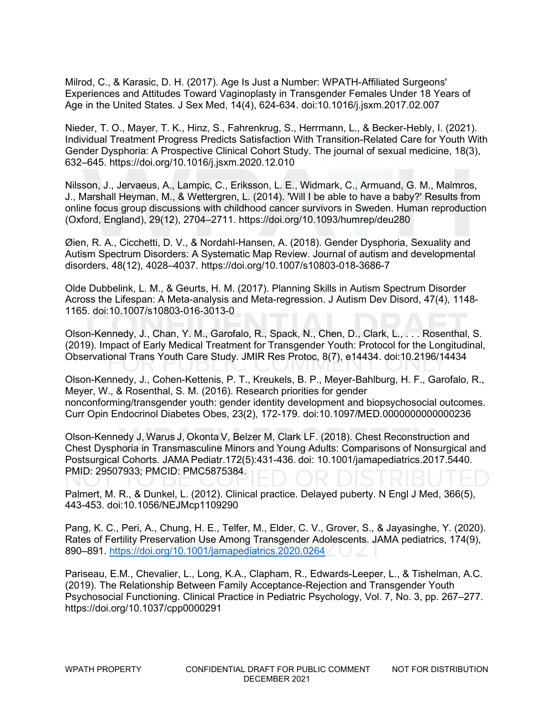Milrod, C., & Karasic, D. H. (2017). Age Is Just a Number: WPATH-Affiliated Surgeons' Experiences and Attitudes Toward Vaginoplasty in Transgender Females Under 18 Years of Age in the United States. J Sex Med, 14(4), 624-634. doi:10.1016/j.jsxm.2017.02.007

Nieder, T. O., Mayer, T. K., Hinz, S., Fahrenkrug, S., Herrmann, L., & Becker-Hebly, I. (2021). Individual Treatment Progress Predicts Satisfaction With Transition-Related Care for Youth With Gender Dysphoria: A Prospective Clinical Cohort Study. The journal of sexual medicine, 18(3), 632–645. https://doi.org/10.1016/j.jsxm.2020.12.010

Nilsson, J., Jervaeus, A., Lampic, C., Eriksson, L. E., Widmark, C., Armuand, G. M., Malmros, J., Marshall Heyman, M., & Wettergren, L. (2014). 'Will I be able to have a baby?' Results from online focus group discussions with childhood cancer survivors in Sweden. Human reproduction (Oxford, England), 29(12), 2704–2711. https://doi.org/10.1093/humrep/deu280

Øien, R. A., Cicchetti, D. V., & Nordahl-Hansen, A. (2018). Gender Dysphoria, Sexuality and Autism Spectrum Disorders: A Systematic Map Review. Journal of autism and developmental disorders, 48(12), 4028–4037. https://doi.org/10.1007/s10803-018-3686-7

Olde Dubbelink, L. M., & Geurts, H. M. (2017). Planning Skills in Autism Spectrum Disorder Across the Lifespan: A Meta-analysis and Meta-regression. J Autism Dev Disord, 47(4), 1148- 1165. doi:10.1007/s10803-016-3013-0

Olson-Kennedy, J., Chan, Y. M., Garofalo, R., Spack, N., Chen, D., Clark, L., . . . Rosenthal, S. (2019). Impact of Early Medical Treatment for Transgender Youth: Protocol for the Longitudinal, Observational Trans Youth Care Study. JMIR Res Protoc, 8(7), e14434. doi:10.2196/14434

Olson-Kennedy, J., Cohen-Kettenis, P. T., Kreukels, B. P., Meyer-Bahlburg, H. F., Garofalo, R., Meyer, W., & Rosenthal, S. M. (2016). Research priorities for gender nonconforming/transgender youth: gender identity development and biopsychosocial outcomes. Curr Opin Endocrinol Diabetes Obes, 23(2), 172-179. doi:10.1097/MED.0000000000000236

Olson-Kennedy J, Warus J, Okonta V, Belzer M, Clark LF. (2018). Chest Reconstruction and Chest Dysphoria in Transmasculine Minors and Young Adults: Comparisons of Nonsurgical and Postsurgical Cohorts. JAMA Pediatr.172(5):431-436. doi: 10.1001/jamapediatrics.2017.5440. PMID: 29507933; PMCID: PMC5875384. 

Palmert, M. R., & Dunkel, L. (2012). Clinical practice. Delayed puberty. N Engl J Med, 366(5), 443-453. doi:10.1056/NEJMcp1109290

Pang, K. C., Peri, A., Chung, H. E., Telfer, M., Elder, C. V., Grover, S., & Jayasinghe, Y. (2020). Rates of Fertility Preservation Use Among Transgender Adolescents. JAMA pediatrics, 174(9), 890–891.<https://doi.org/10.1001/jamapediatrics.2020.0264>

Pariseau, E.M., Chevalier, L., Long, K.A., Clapham, R., Edwards-Leeper, L., & Tishelman, A.C. (2019). The Relationship Between Family Acceptance-Rejection and Transgender Youth Psychosocial Functioning. Clinical Practice in Pediatric Psychology, Vol. 7, No. 3, pp. 267–277. https://doi.org/10.1037/cpp0000291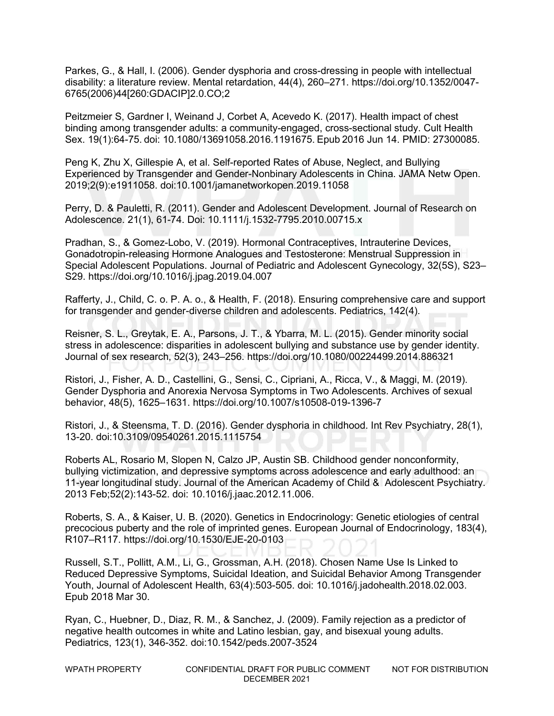Parkes, G., & Hall, I. (2006). Gender dysphoria and cross-dressing in people with intellectual disability: a literature review. Mental retardation, 44(4), 260–271. https://doi.org/10.1352/0047- 6765(2006)44[260:GDACIP]2.0.CO;2

Peitzmeier S, Gardner I, Weinand J, Corbet A, Acevedo K. (2017). Health impact of chest binding among transgender adults: a community-engaged, cross-sectional study. Cult Health Sex. 19(1):64-75. doi: 10.1080/13691058.2016.1191675. Epub 2016 Jun 14. PMID: 27300085. 

Peng K, Zhu X, Gillespie A, et al. Self-reported Rates of Abuse, Neglect, and Bullying Experienced by Transgender and Gender-Nonbinary Adolescents in China. JAMA Netw Open. 2019;2(9):e1911058. doi:10.1001/jamanetworkopen.2019.11058

Perry, D. & Pauletti, R. (2011). Gender and Adolescent Development. Journal of Research on Adolescence. 21(1), 61-74. Doi: 10.1111/j.1532-7795.2010.00715.x

Pradhan, S., & Gomez-Lobo, V. (2019). Hormonal Contraceptives, Intrauterine Devices, Gonadotropin-releasing Hormone Analogues and Testosterone: Menstrual Suppression in Special Adolescent Populations. Journal of Pediatric and Adolescent Gynecology, 32(5S), S23– S29. https://doi.org/10.1016/j.jpag.2019.04.007

Rafferty, J., Child, C. o. P. A. o., & Health, F. (2018). Ensuring comprehensive care and support for transgender and gender-diverse children and adolescents. Pediatrics, 142(4).

Reisner, S. L., Greytak, E. A., Parsons, J. T., & Ybarra, M. L. (2015). Gender minority social stress in adolescence: disparities in adolescent bullying and substance use by gender identity. Journal of sex research, 52(3), 243–256. https://doi.org/10.1080/00224499.2014.886321

Ristori, J., Fisher, A. D., Castellini, G., Sensi, C., Cipriani, A., Ricca, V., & Maggi, M. (2019). Gender Dysphoria and Anorexia Nervosa Symptoms in Two Adolescents. Archives of sexual behavior, 48(5), 1625–1631. https://doi.org/10.1007/s10508-019-1396-7

Ristori, J., & Steensma, T. D. (2016). Gender dysphoria in childhood. Int Rev Psychiatry, 28(1), 13-20. doi:10.3109/09540261.2015.1115754

Roberts AL, Rosario M, Slopen N, Calzo JP, Austin SB. Childhood gender nonconformity, bullying victimization, and depressive symptoms across adolescence and early adulthood: an 11-year longitudinal study. Journal of the American Academy of Child & Adolescent Psychiatry. 2013 Feb;52(2):143-52. doi: 10.1016/j.jaac.2012.11.006.

Roberts, S. A., & Kaiser, U. B. (2020). Genetics in Endocrinology: Genetic etiologies of central precocious puberty and the role of imprinted genes. European Journal of Endocrinology, 183(4), R107–R117. https://doi.org/10.1530/EJE-20-0103

Russell, S.T., Pollitt, A.M., Li, G., Grossman, A.H. (2018). Chosen Name Use Is Linked to Reduced Depressive Symptoms, Suicidal Ideation, and Suicidal Behavior Among Transgender Youth, Journal of Adolescent Health, 63(4):503-505. doi: 10.1016/j.jadohealth.2018.02.003. Epub 2018 Mar 30.

Ryan, C., Huebner, D., Diaz, R. M., & Sanchez, J. (2009). Family rejection as a predictor of negative health outcomes in white and Latino lesbian, gay, and bisexual young adults. Pediatrics, 123(1), 346-352. doi:10.1542/peds.2007-3524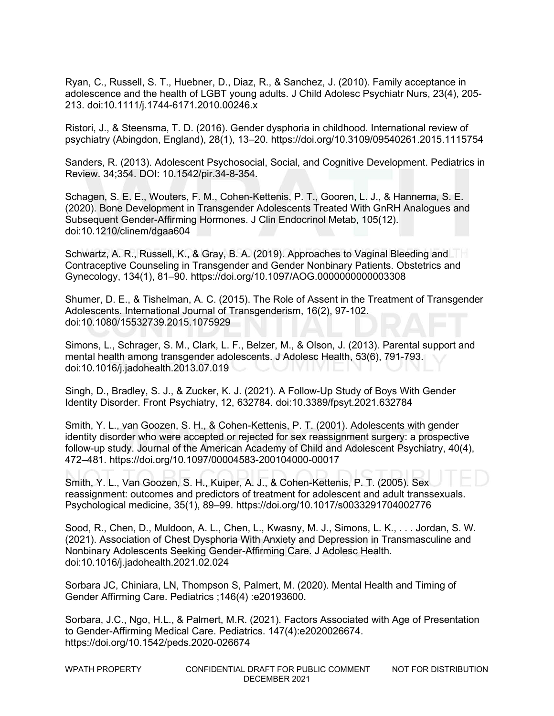Ryan, C., Russell, S. T., Huebner, D., Diaz, R., & Sanchez, J. (2010). Family acceptance in adolescence and the health of LGBT young adults. J Child Adolesc Psychiatr Nurs, 23(4), 205- 213. doi:10.1111/j.1744-6171.2010.00246.x

Ristori, J., & Steensma, T. D. (2016). Gender dysphoria in childhood. International review of psychiatry (Abingdon, England), 28(1), 13–20. https://doi.org/10.3109/09540261.2015.1115754

Sanders, R. (2013). Adolescent Psychosocial, Social, and Cognitive Development. Pediatrics in Review. 34;354. DOI: 10.1542/pir.34-8-354.

Schagen, S. E. E., Wouters, F. M., Cohen-Kettenis, P. T., Gooren, L. J., & Hannema, S. E. (2020). Bone Development in Transgender Adolescents Treated With GnRH Analogues and Subsequent Gender-Affirming Hormones. J Clin Endocrinol Metab, 105(12). doi:10.1210/clinem/dgaa604

Schwartz, A. R., Russell, K., & Gray, B. A. (2019). Approaches to Vaginal Bleeding and Contraceptive Counseling in Transgender and Gender Nonbinary Patients. Obstetrics and Gynecology, 134(1), 81–90. https://doi.org/10.1097/AOG.0000000000003308

Shumer, D. E., & Tishelman, A. C. (2015). The Role of Assent in the Treatment of Transgender Adolescents. International Journal of Transgenderism, 16(2), 97-102. doi:10.1080/15532739.2015.1075929

Simons, L., Schrager, S. M., Clark, L. F., Belzer, M., & Olson, J. (2013). Parental support and mental health among transgender adolescents. J Adolesc Health, 53(6), 791-793. doi:10.1016/j.jadohealth.2013.07.019

Singh, D., Bradley, S. J., & Zucker, K. J. (2021). A Follow-Up Study of Boys With Gender Identity Disorder. Front Psychiatry, 12, 632784. doi:10.3389/fpsyt.2021.632784

Smith, Y. L., van Goozen, S. H., & Cohen-Kettenis, P. T. (2001). Adolescents with gender identity disorder who were accepted or rejected for sex reassignment surgery: a prospective follow-up study. Journal of the American Academy of Child and Adolescent Psychiatry, 40(4), 472–481. https://doi.org/10.1097/00004583-200104000-00017

Smith, Y. L., Van Goozen, S. H., Kuiper, A. J., & Cohen-Kettenis, P. T. (2005). Sex reassignment: outcomes and predictors of treatment for adolescent and adult transsexuals. Psychological medicine, 35(1), 89–99. https://doi.org/10.1017/s0033291704002776

Sood, R., Chen, D., Muldoon, A. L., Chen, L., Kwasny, M. J., Simons, L. K., . . . Jordan, S. W. (2021). Association of Chest Dysphoria With Anxiety and Depression in Transmasculine and Nonbinary Adolescents Seeking Gender-Affirming Care. J Adolesc Health. doi:10.1016/j.jadohealth.2021.02.024

Sorbara JC, Chiniara, LN, Thompson S, Palmert, M. (2020). Mental Health and Timing of Gender Affirming Care. Pediatrics ;146(4) :e20193600.

Sorbara, J.C., Ngo, H.L., & Palmert, M.R. (2021). Factors Associated with Age of Presentation to Gender-Affirming Medical Care. Pediatrics. 147(4):e2020026674. https://doi.org/10.1542/peds.2020-026674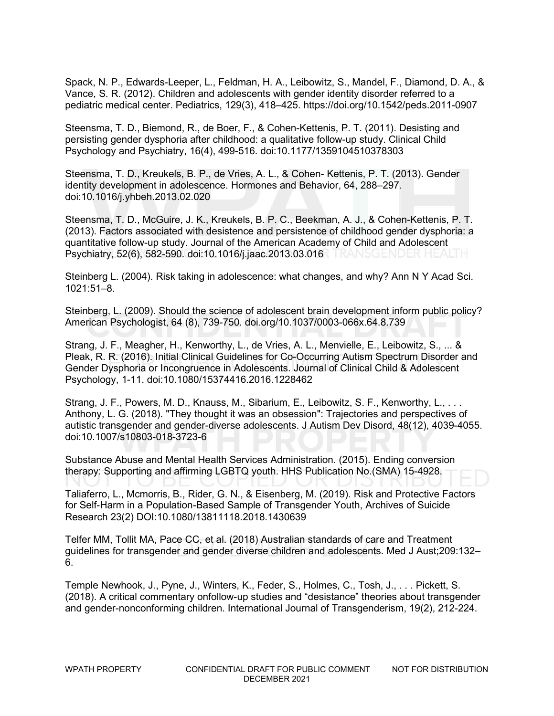Spack, N. P., Edwards-Leeper, L., Feldman, H. A., Leibowitz, S., Mandel, F., Diamond, D. A., & Vance, S. R. (2012). Children and adolescents with gender identity disorder referred to a pediatric medical center. Pediatrics, 129(3), 418–425. https://doi.org/10.1542/peds.2011-0907

Steensma, T. D., Biemond, R., de Boer, F., & Cohen-Kettenis, P. T. (2011). Desisting and persisting gender dysphoria after childhood: a qualitative follow-up study. Clinical Child Psychology and Psychiatry, 16(4), 499-516. doi:10.1177/1359104510378303

Steensma, T. D., Kreukels, B. P., de Vries, A. L., & Cohen- Kettenis, P. T. (2013). Gender identity development in adolescence. Hormones and Behavior, 64, 288–297. doi:10.1016/j.yhbeh.2013.02.020

Steensma, T. D., McGuire, J. K., Kreukels, B. P. C., Beekman, A. J., & Cohen-Kettenis, P. T. (2013). Factors associated with desistence and persistence of childhood gender dysphoria: a quantitative follow-up study. Journal of the American Academy of Child and Adolescent Psychiatry, 52(6), 582-590. doi:10.1016/j.jaac.2013.03.016

Steinberg L. (2004). Risk taking in adolescence: what changes, and why? Ann N Y Acad Sci. 1021:51–8.

Steinberg, L. (2009). Should the science of adolescent brain development inform public policy? American Psychologist, 64 (8), 739-750. doi.org/10.1037/0003-066x.64.8.739

Strang, J. F., Meagher, H., Kenworthy, L., de Vries, A. L., Menvielle, E., Leibowitz, S., ... & Pleak, R. R. (2016). Initial Clinical Guidelines for Co-Occurring Autism Spectrum Disorder and Gender Dysphoria or Incongruence in Adolescents. Journal of Clinical Child & Adolescent Psychology, 1-11. doi:10.1080/15374416.2016.1228462

Strang, J. F., Powers, M. D., Knauss, M., Sibarium, E., Leibowitz, S. F., Kenworthy, L., ... Anthony, L. G. (2018). "They thought it was an obsession": Trajectories and perspectives of autistic transgender and gender-diverse adolescents. J Autism Dev Disord, 48(12), 4039-4055. doi:10.1007/s10803-018-3723-6

Substance Abuse and Mental Health Services Administration. (2015). Ending conversion therapy: Supporting and affirming LGBTQ youth. HHS Publication No.(SMA) 15-4928.

Taliaferro, L., Mcmorris, B., Rider, G. N., & Eisenberg, M. (2019). Risk and Protective Factors for Self-Harm in a Population-Based Sample of Transgender Youth, Archives of Suicide Research 23(2) DOI:10.1080/13811118.2018.1430639

Telfer MM, Tollit MA, Pace CC, et al. (2018) Australian standards of care and Treatment guidelines for transgender and gender diverse children and adolescents. Med J Aust;209:132– 6.

Temple Newhook, J., Pyne, J., Winters, K., Feder, S., Holmes, C., Tosh, J., . . . Pickett, S. (2018). A critical commentary onfollow-up studies and "desistance" theories about transgender and gender-nonconforming children. International Journal of Transgenderism, 19(2), 212-224.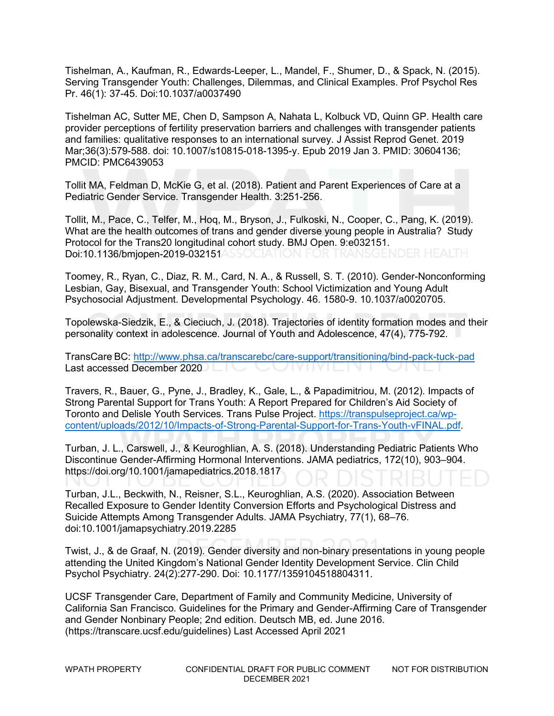Tishelman, A., Kaufman, R., Edwards-Leeper, L., Mandel, F., Shumer, D., & Spack, N. (2015). Serving Transgender Youth: Challenges, Dilemmas, and Clinical Examples. Prof Psychol Res Pr. 46(1): 37-45. Doi:10.1037/a0037490

Tishelman AC, Sutter ME, Chen D, Sampson A, Nahata L, Kolbuck VD, Quinn GP. Health care provider perceptions of fertility preservation barriers and challenges with transgender patients and families: qualitative responses to an international survey. J Assist Reprod Genet. 2019 Mar;36(3):579-588. doi: 10.1007/s10815-018-1395-y. Epub 2019 Jan 3. PMID: 30604136; PMCID: PMC6439053

Tollit MA, Feldman D, McKie G, et al. (2018). Patient and Parent Experiences of Care at a Pediatric Gender Service. Transgender Health. 3:251-256.

Tollit, M., Pace, C., Telfer, M., Hoq, M., Bryson, J., Fulkoski, N., Cooper, C., Pang, K. (2019). What are the health outcomes of trans and gender diverse young people in Australia? Study Protocol for the Trans20 longitudinal cohort study. BMJ Open. 9:e032151. Doi:10.1136/bmjopen-2019-032151ASSOCIATION FOR TRANSGENDER HEALTH

Toomey, R., Ryan, C., Diaz, R. M., Card, N. A., & Russell, S. T. (2010). Gender-Nonconforming Lesbian, Gay, Bisexual, and Transgender Youth: School Victimization and Young Adult Psychosocial Adjustment. Developmental Psychology. 46. 1580-9. 10.1037/a0020705.

Topolewska-Siedzik, E., & Cieciuch, J. (2018). Trajectories of identity formation modes and their personality context in adolescence. Journal of Youth and Adolescence, 47(4), 775-792.

TransCare BC:<http://www.phsa.ca/transcarebc/care-support/transitioning/bind-pack-tuck-pad> Last accessed December 2020 

Travers, R., Bauer, G., Pyne, J., Bradley, K., Gale, L., & Papadimitriou, M. (2012). Impacts of Strong Parental Support for Trans Youth: A Report Prepared for Children's Aid Society of Toronto and Delisle Youth Services. Trans Pulse Project. [https://transpulseproject.ca/wp](https://transpulseproject.ca/wp-content/uploads/2012/10/Impacts-of-Strong-Parental-Support-for-Trans-Youth-vFINAL.pdf)[content/uploads/2012/10/Impacts-of-Strong-Parental-Support-for-Trans-Youth-vFINAL.pdf.](https://transpulseproject.ca/wp-content/uploads/2012/10/Impacts-of-Strong-Parental-Support-for-Trans-Youth-vFINAL.pdf)

Turban, J. L., Carswell, J., & Keuroghlian, A. S. (2018). Understanding Pediatric Patients Who Discontinue Gender-Affirming Hormonal Interventions. JAMA pediatrics, 172(10), 903–904. https://doi.org/10.1001/jamapediatrics.2018.1817

Turban, J.L., Beckwith, N., Reisner, S.L., Keuroghlian, A.S. (2020). Association Between Recalled Exposure to Gender Identity Conversion Efforts and Psychological Distress and Suicide Attempts Among Transgender Adults. JAMA Psychiatry, 77(1), 68–76. doi:10.1001/jamapsychiatry.2019.2285

Twist, J., & de Graaf, N. (2019). Gender diversity and non-binary presentations in young people attending the United Kingdom's National Gender Identity Development Service. Clin Child Psychol Psychiatry. 24(2):277-290. Doi: 10.1177/1359104518804311.

UCSF Transgender Care, Department of Family and Community Medicine, University of California San Francisco. Guidelines for the Primary and Gender-Affirming Care of Transgender and Gender Nonbinary People; 2nd edition. Deutsch MB, ed. June 2016. (https://transcare.ucsf.edu/guidelines) Last Accessed April 2021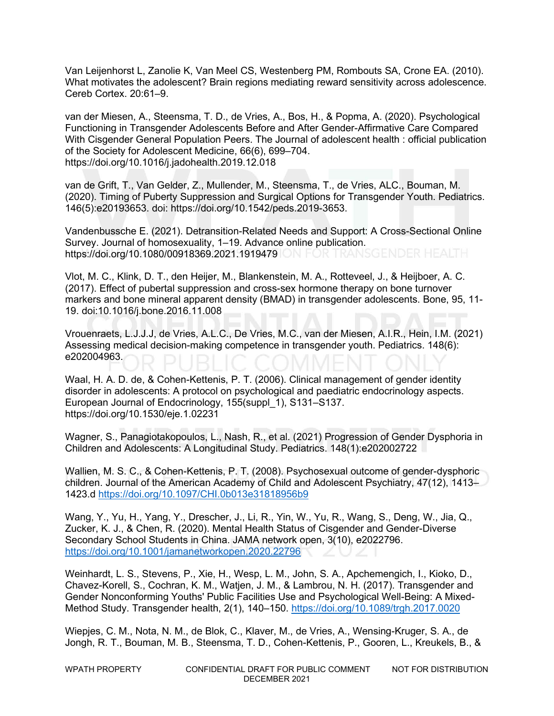Van Leijenhorst L, Zanolie K, Van Meel CS, Westenberg PM, Rombouts SA, Crone EA. (2010). What motivates the adolescent? Brain regions mediating reward sensitivity across adolescence. Cereb Cortex. 20:61–9.

van der Miesen, A., Steensma, T. D., de Vries, A., Bos, H., & Popma, A. (2020). Psychological Functioning in Transgender Adolescents Before and After Gender-Affirmative Care Compared With Cisgender General Population Peers. The Journal of adolescent health : official publication of the Society for Adolescent Medicine, 66(6), 699–704. https://doi.org/10.1016/j.jadohealth.2019.12.018

van de Grift, T., Van Gelder, Z., Mullender, M., Steensma, T., de Vries, ALC., Bouman, M. (2020). Timing of Puberty Suppression and Surgical Options for Transgender Youth. Pediatrics. 146(5):e20193653. doi: https://doi.org/10.1542/peds.2019-3653.

Vandenbussche E. (2021). Detransition-Related Needs and Support: A Cross-Sectional Online Survey. Journal of homosexuality, 1–19. Advance online publication. https://doi.org/10.1080/00918369.2021.1919479 ON FOR TRANSGENDER HEALTH

Vlot, M. C., Klink, D. T., den Heijer, M., Blankenstein, M. A., Rotteveel, J., & Heijboer, A. C. (2017). Effect of pubertal suppression and cross-sex hormone therapy on bone turnover markers and bone mineral apparent density (BMAD) in transgender adolescents. Bone, 95, 11- 19. doi:10.1016/j.bone.2016.11.008

Vrouenraets, L.J.J.J, de Vries, A.L.C., De Vries, M.C., van der Miesen, A.I.R., Hein, I.M. (2021) Assessing medical decision-making competence in transgender youth. Pediatrics. 148(6): e202004963.

Waal, H. A. D. de, & Cohen-Kettenis, P. T. (2006). Clinical management of gender identity disorder in adolescents: A protocol on psychological and paediatric endocrinology aspects. European Journal of Endocrinology, 155(suppl\_1), S131–S137. https://doi.org/10.1530/eje.1.02231

Wagner, S., Panagiotakopoulos, L., Nash, R., et al. (2021) Progression of Gender Dysphoria in Children and Adolescents: A Longitudinal Study. Pediatrics. 148(1):e202002722

Wallien, M. S. C., & Cohen-Kettenis, P. T. (2008). Psychosexual outcome of gender-dysphoric children. Journal of the American Academy of Child and Adolescent Psychiatry, 47(12), 1413– 1423.d <https://doi.org/10.1097/CHI.0b013e31818956b9>

Wang, Y., Yu, H., Yang, Y., Drescher, J., Li, R., Yin, W., Yu, R., Wang, S., Deng, W., Jia, Q., Zucker, K. J., & Chen, R. (2020). Mental Health Status of Cisgender and Gender-Diverse Secondary School Students in China. JAMA network open, 3(10), e2022796. <https://doi.org/10.1001/jamanetworkopen.2020.22796>

Weinhardt, L. S., Stevens, P., Xie, H., Wesp, L. M., John, S. A., Apchemengich, I., Kioko, D., Chavez-Korell, S., Cochran, K. M., Watjen, J. M., & Lambrou, N. H. (2017). Transgender and Gender Nonconforming Youths' Public Facilities Use and Psychological Well-Being: A Mixed-Method Study. Transgender health, 2(1), 140–150.<https://doi.org/10.1089/trgh.2017.0020>

Wiepjes, C. M., Nota, N. M., de Blok, C., Klaver, M., de Vries, A., Wensing-Kruger, S. A., de Jongh, R. T., Bouman, M. B., Steensma, T. D., Cohen-Kettenis, P., Gooren, L., Kreukels, B., &